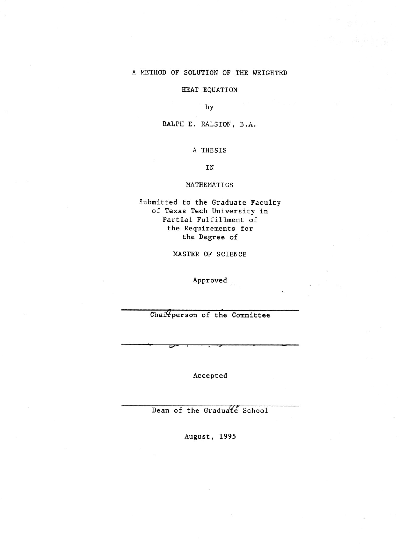#### A METHOD OF SOLUTION OF THE WEIGHTED

#### HEAT EQUATION

by

RALPH E. RALSTON, B.A.

#### A THESIS

IN

#### MATHEMATICS

Submitted to the Graduate Faculty of Texas Tech University in Partial Fulfillment of the Requirements for the Degree of

MASTER OF SCIENCE

Approved

Chai<sup>*Q*</sup>person of the Committee

Accepted

Dean of the Graduate School

August, 1995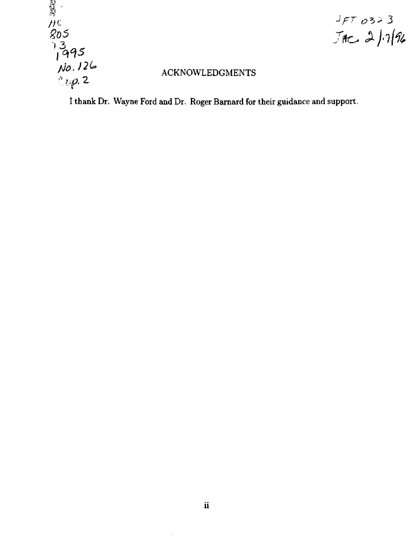

# $JFT$  0323<br> $JRC = 27/76$

# ACKNOWLEDGMENTS

I thank Dr. Wayne Ford and Dr. Roger Barnard for their guidance and support.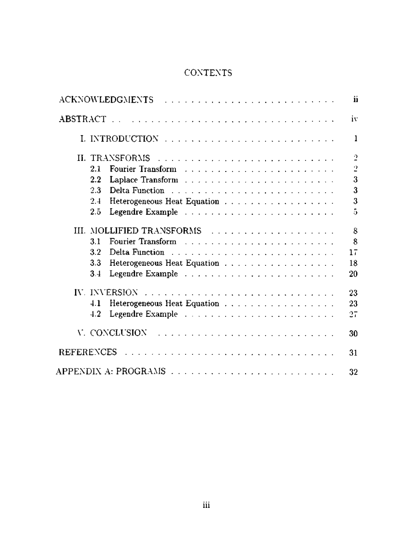# CONTEXTS

|                                                                                                                                                                                                                                       |  | ii             |
|---------------------------------------------------------------------------------------------------------------------------------------------------------------------------------------------------------------------------------------|--|----------------|
|                                                                                                                                                                                                                                       |  | iv             |
|                                                                                                                                                                                                                                       |  | $\mathbf{1}$   |
|                                                                                                                                                                                                                                       |  | $\overline{2}$ |
| 2.1                                                                                                                                                                                                                                   |  | $\overline{2}$ |
| 2.2<br>Laplace Transform (Fig. 1, Fig. 1, Fig. 1, Fig. 1, Fig. 1, Fig. 1, Fig. 1, Fig. 1, Fig. 1, Fig. 1, Fig. 1, Fig. 1, Fig. 1, Fig. 1, Fig. 1, Fig. 1, Fig. 1, Fig. 1, Fig. 1, Fig. 1, Fig. 1, Fig. 1, Fig. 1, Fig. 1, Fig. 1, Fig |  | 3              |
| 2.3                                                                                                                                                                                                                                   |  | 3              |
| Heterogeneous Heat Equation<br>2.4                                                                                                                                                                                                    |  | 3              |
| 2.5                                                                                                                                                                                                                                   |  | 5              |
| III. MOLLIFIED TRANSFORMS                                                                                                                                                                                                             |  | 8              |
| 3.1                                                                                                                                                                                                                                   |  | 8              |
| 3.2                                                                                                                                                                                                                                   |  | 17             |
| 3.3<br>Heterogeneous Heat Equation                                                                                                                                                                                                    |  | 18             |
| 3.4                                                                                                                                                                                                                                   |  | 20             |
|                                                                                                                                                                                                                                       |  | 23             |
| 4.1<br>Heterogeneous Heat Equation                                                                                                                                                                                                    |  | 23             |
| 4.2                                                                                                                                                                                                                                   |  | 27             |
| V. CONCLUSION Experience and a contract and a contract of                                                                                                                                                                             |  | 30             |
|                                                                                                                                                                                                                                       |  | 31             |
|                                                                                                                                                                                                                                       |  | 32             |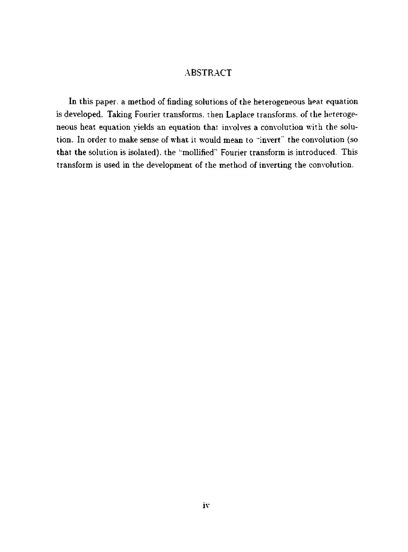### ABSTRACT

In this paper, a method of finding solutions of the heterogeneous heat equation is developed. Taking Fourier transforms, then Laplace transforms, of the heterogeneous heat equation yields an equation that involves a convolution with the solution. In order to make sense of what it would mean to "invert" the convolution (so that the solution is isolated), the '"mollified"' Fourier transform is introduced. This transform is used in the development of the method of inverting the convolution.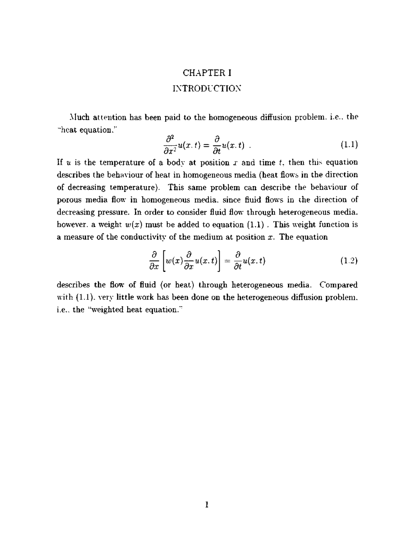# CHAPTER I INTRODUCTION

Much attention has been paid to the homogeneous diffusion problem, i.e.. the "heat equation.''

$$
\frac{\partial^2}{\partial x^2}u(x,t)=\frac{\partial}{\partial t}u(x,t) \qquad (1.1)
$$

If *u* is the temperature of a body at position *x* and time *t.* then this equation describes the behaviour of heat in homogeneous media (heat flows in the direction of decreasing temperature). This same problem can describe the behaviour of porous media flow in homogeneous media, since fluid flows in the direction of decreasing pressure. In order to consider fluid flow through heterogeneous media, however, a weight  $w(x)$  must be added to equation  $(1.1)$ . This weight function is a measure of the conductivity of the medium at position *x.* The equation

$$
\frac{\partial}{\partial x}\left[w(x)\frac{\partial}{\partial x}u(x,t)\right] = \frac{\partial}{\partial t}u(x,t) \tag{1.2}
$$

describes the flow of fluid (or heat) through heterogeneous media. Compared with (1.1), very little work has been done on the heterogeneous diffusion problem. i.e.. the "weighted heat equation."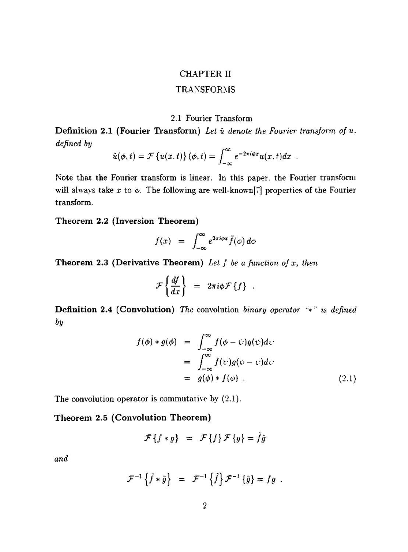#### CHAPTER **II**

#### TRANSFORMS

#### 2.1 Fourier Transform

**Definition 2.1 (Fourier Transform)** *Lei u denote the Fourier transform of u. defined by* 

$$
\tilde{u}(\phi,t)=\mathcal{F}\left\{u(x,t)\right\}(\phi,t)=\int_{-\infty}^{\infty}e^{-2\pi i\phi x}u(x,t)dx.
$$

Note that the Fourier transform is linear. In this paper, the Fourier transform will always take  $x$  to  $\phi$ . The following are well-known<sup>[7]</sup> properties of the Fourier transform.

**Theorem 2.2 (Inversion Theorem)** 

$$
f(x) = \int_{-\infty}^{\infty} e^{2\pi i \varphi x} \tilde{f}(\varphi) d\varphi
$$

**Theorem 2.3 (Derivative Theorem)** *Let f be a function of x, then* 

$$
\mathcal{F}\left\{\frac{df}{dx}\right\} = 2\pi i \phi \mathcal{F}\left\{f\right\} .
$$

**Definition 2.4 (Convolution)** *The* convolution *binary operator* "\*" *is defined by* 

$$
f(\phi) * g(\phi) = \int_{-\infty}^{\infty} f(\phi - \psi)g(\psi) d\psi
$$
  
= 
$$
\int_{-\infty}^{\infty} f(\psi)g(\phi - \psi) d\psi
$$
  
= 
$$
g(\phi) * f(\phi)
$$
 (2.1)

The convolution operator is commutative by (2.1).

## **Theorem 2.5 (Convolution Theorem)**

$$
\mathcal{F}\left\{f*g\right\} = \mathcal{F}\left\{f\right\}\mathcal{F}\left\{g\right\} = \tilde{f}\tilde{g}
$$

*and* 

$$
\mathcal{F}^{-1}\left\{\tilde{f}*\tilde{g}\right\} = \mathcal{F}^{-1}\left\{\tilde{f}\right\}\mathcal{F}^{-1}\left\{\tilde{g}\right\} = fg.
$$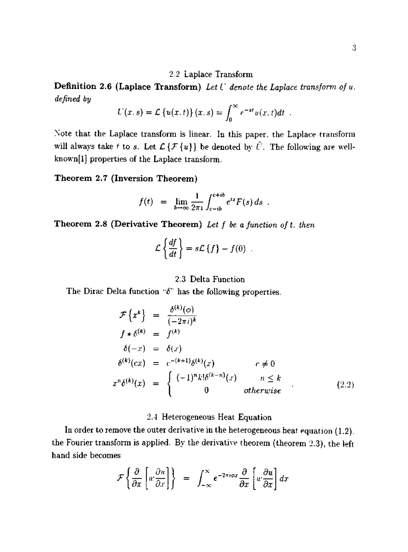#### 2.2 Laplace Transform

**Definition 2.6 (Laplace Transform)** *Let U denote the Laplace transform of u. defined by* 

$$
U(x,s) = \mathcal{L}\left\{u(x,t)\right\}(x,s) = \int_0^\infty e^{-st}u(x,t)dt.
$$

Note that the Laplace transform is linear. In this paper, the Laplace transform will always take *t* to *s*. Let  $\mathcal{L}\{\mathcal{F}\{u\}\}\)$  be denoted by  $\tilde{U}$ . The following are well $k$ nown [1] properties of the Laplace transform.

**Theorem 2.7 (Inversion Theorem)** 

$$
f(t) = \lim_{b \to \infty} \frac{1}{2\pi i} \int_{c-ib}^{c+ib} e^{ts} F(s) ds.
$$

**Theorem 2.8 (Derivative Theorem)** *Let f be a function oft. then* 

$$
\mathcal{L}\left\{\frac{df}{dt}\right\} = s\mathcal{L}\left\{f\right\} - f(0)
$$

#### 2.3 Delta Function

The Dirac Delta function  $\mathscr{C}$  has the following properties.

$$
\mathcal{F}\left\{x^{k}\right\} = \frac{\delta^{(k)}(o)}{(-2\pi i)^{k}}
$$
\n
$$
f * \delta^{(k)} = f^{(k)}
$$
\n
$$
\delta(-x) = \delta(x)
$$
\n
$$
\delta^{(k)}(cx) = c^{-(k+1)}\delta^{(k)}(x) \qquad c \neq 0
$$
\n
$$
x^{n}\delta^{(k)}(x) = \begin{cases}\n(-1)^{n}k!\delta^{(k-n)}(x) & n \leq k \\
0 & otherwise\n\end{cases}
$$
\n(2.2)

#### 2.4 Heterogeneous Heat Equation

In order to remove the outer derivative in the heterogeneous heat equation (1.2). the Fourier transform is apphed. By the derivative theorem (theorem 2.3), the left hand side becomes

$$
\mathcal{F}\left\{\frac{\partial}{\partial x}\left[u'\frac{\partial u}{\partial x}\right]\right\} = \int_{-\infty}^{\infty} e^{-2\pi i \phi x} \frac{\partial}{\partial x}\left[u'\frac{\partial u}{\partial x}\right] dx
$$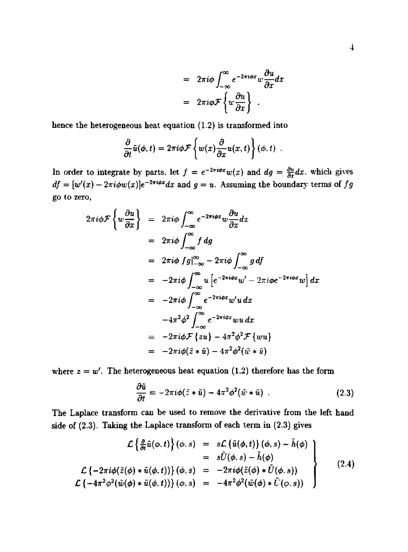$$
= 2\pi i \phi \int_{-\infty}^{\infty} e^{-2\pi i \phi x} w \frac{\partial u}{\partial x} dx
$$

$$
= 2\pi i \phi \mathcal{F} \left\{ w \frac{\partial u}{\partial x} \right\} .
$$

hence the heterogeneous heat equation (1.2) is transformed into

$$
\frac{\partial}{\partial t}\tilde{u}(\phi,t)=2\pi i\phi\mathcal{F}\left\{w(x)\frac{\partial}{\partial x}u(x,t)\right\}(\phi,t).
$$

In order to integrate by parts, let  $f = e^{-2\pi i\phi x}w(x)$  and  $dg = \frac{\partial u}{\partial x}dx$ , which gives  $df = [w'(x) - 2\pi i \phi w(x)]e^{-2\pi i \phi x}dx$  and  $g = u$ . Assuming the boundary terms of *fg* go to zero,

$$
2\pi i\phi \mathcal{F}\left\{w\frac{\partial u}{\partial x}\right\} = 2\pi i\phi \int_{-\infty}^{\infty} e^{-2\pi i\phi x} w \frac{\partial u}{\partial x} dx
$$
  
\n
$$
= 2\pi i\phi \int_{-\infty}^{\infty} f \, dg
$$
  
\n
$$
= 2\pi i\phi \int_{-\infty}^{\infty} f \, d\phi
$$
  
\n
$$
= 2\pi i\phi \int_{-\infty}^{\infty} u \left[e^{-2\pi i\phi x} w' - 2\pi i\phi e^{-2\pi i\phi x} w\right] dx
$$
  
\n
$$
= -2\pi i\phi \int_{-\infty}^{\infty} e^{-2\pi i\phi x} w' u \, dx
$$
  
\n
$$
= -4\pi^2 \phi^2 \int_{-\infty}^{\infty} e^{-2\pi i\phi x} w u \, dx
$$
  
\n
$$
= -2\pi i\phi \mathcal{F}\left\{zu\right\} - 4\pi^2 \phi^2 \mathcal{F}\left\{wu\right\}
$$
  
\n
$$
= -2\pi i\phi (\tilde{z} * \tilde{u}) - 4\pi^2 \phi^2 (\tilde{w} * \tilde{u})
$$

where  $z = w'$ . The heterogeneous heat equation (1.2) therefore has the form

$$
\frac{\partial \tilde{u}}{\partial t} = -2\pi i \phi (\tilde{z} * \tilde{u}) - 4\pi^2 \phi^2 (\tilde{w} * \tilde{u}) \tag{2.3}
$$

The Laplace transform can be used to remove the derivative from the left hand side of (2.3). Taking the Laplace transform of each term in (2.3) gives

$$
\mathcal{L}\left\{\frac{\partial}{\partial t}\tilde{u}(\varphi,t)\right\}(\varphi,s) = s\mathcal{L}\left\{\tilde{u}(\varphi,t)\right\}(\varphi,s) - \tilde{h}(\varphi) \n= s\tilde{U}(\varphi,s) - \tilde{h}(\varphi) \n\mathcal{L}\left\{-2\pi i\varphi(\tilde{z}(\varphi) * \tilde{u}(\varphi,t))\right\}(\varphi,s) = -2\pi i\varphi(\tilde{z}(\varphi) * \tilde{U}(\varphi,s)) \n\mathcal{L}\left\{-4\pi^2\varphi^2(\tilde{w}(\varphi) * \tilde{u}(\varphi,t))\right\}(\varphi,s) = -4\pi^2\varphi^2(\tilde{w}(\varphi) * \tilde{U}(\varphi,s))
$$
\n(2.4)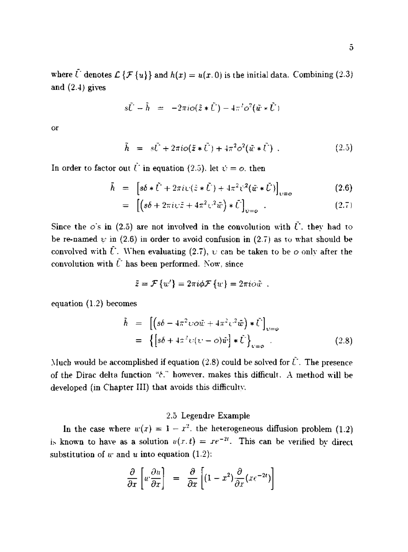where  $\tilde{U}$  denotes  $\mathcal{L}\{\mathcal{F}\{u\}\}\$  and  $h(x) = u(x, 0)$  is the initial data. Combining (2.3) and (2.4) gives

$$
s\tilde{U}-\tilde{h} = -2\pi i \phi(\tilde{z}*\tilde{U}) - 4\pi^2 \phi^2(\tilde{w}*\tilde{U})
$$

or

$$
\tilde{h} = s\tilde{U} + 2\pi i \phi (\tilde{z} * \tilde{U}) + 4\pi^2 \phi^2 (\tilde{w} * \tilde{U}) . \qquad (2.5)
$$

In order to factor out  $\tilde{U}$  in equation (2.5), let  $\psi = \phi$ , then

$$
\bar{h} = \left[ s\delta * \tilde{U} + 2\pi i \psi (\tilde{z} * \tilde{U}) + 4\pi^2 \psi^2 (\tilde{w} * \tilde{U}) \right]_{\nu = \sigma}
$$
(2.6)

$$
= \left[ \left( s\delta + 2\pi i \psi \tilde{z} + 4\pi^2 \psi^2 \tilde{w} \right) * \tilde{U} \right]_{\psi=\phi} . \tag{2.7}
$$

Since the  $\phi$ 's in (2.5) are not involved in the convolution with  $\tilde{U}$ , they had to be re-named  $\psi$  in (2.6) in order to avoid confusion in (2.7) as to what should be convolved with  $\hat{U}$ . When evaluating (2.7),  $\upsilon$  can be taken to be  $\phi$  only after the convolution with  $\tilde{U}$  has been performed. Now, since

$$
\bar{z} = \mathcal{F}\left\{w'\right\} = 2\pi i \phi \mathcal{F}\left\{w\right\} = 2\pi i \phi \tilde{w}.
$$

equation (1.2) becomes

$$
\tilde{h} = \left[ \left( s\delta - 4\pi^2 \psi \phi \tilde{w} + 4\pi^2 \psi^2 \tilde{w} \right) * \tilde{U} \right]_{\psi = \phi}
$$
\n
$$
= \left\{ \left[ s\delta + 4\pi^2 \psi (\psi - \phi) \tilde{w} \right] * \tilde{U} \right\}_{\psi = \phi} . \tag{2.8}
$$

Much would be accomplished if equation (2.8) could be solved for  $\tilde{U}$ . The presence of the Dirac delta function *''6."* however, makes this diflficult. A method will be developed (in Chapter III) that avoids this difficultv.

## 2.5 Legendre Example

In the case where  $w(x) = 1 - x^2$ . the heterogeneous diffusion problem (1.2) is known to have as a solution  $u(x, t) = xe^{-2t}$ . This can be verified by direct substitution of *w* and *u* into equation (1.2):

$$
\frac{\partial}{\partial x}\left[u'\frac{\partial u}{\partial x}\right] = \frac{\partial}{\partial x}\left[(1-x^2)\frac{\partial}{\partial x}(x\epsilon^{-2t})\right]
$$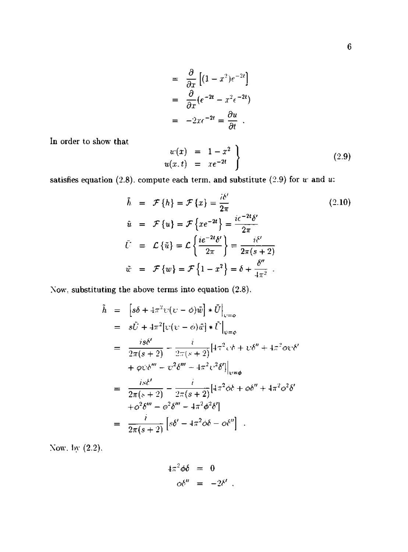$$
= \frac{\partial}{\partial x} \left[ (1 - x^2)e^{-2t} \right]
$$

$$
= \frac{\partial}{\partial x} (e^{-2t} - x^2e^{-2t})
$$

$$
= -2xc^{-2t} = \frac{\partial u}{\partial t} .
$$

In order to show that

$$
w(x) = 1 - x^2 \n u(x, t) = xe^{-2t} \qquad (2.9)
$$

satisfies equation (2.8), compute each term, and substitute (2.9) for  $u$  and  $u$ :

$$
\bar{h} = \mathcal{F}\{h\} = \mathcal{F}\{x\} = \frac{i\delta'}{2\pi}
$$
\n
$$
\bar{u} = \mathcal{F}\{u\} = \mathcal{F}\{xe^{-2t}\} = \frac{ic^{-2t}\delta'}{2\pi}
$$
\n
$$
\bar{U} = \mathcal{L}\{\bar{u}\} = \mathcal{L}\left\{\frac{ie^{-2t}\delta'}{2\pi}\right\} = \frac{i\delta'}{2\pi(s+2)}
$$
\n
$$
\tilde{w} = \mathcal{F}\{w\} = \mathcal{F}\{1-x^2\} = \delta + \frac{\delta''}{4\pi^2}
$$
\n(2.10)

Now, substituting the above terms into equation (2.8).

$$
\tilde{h} = \left[ s\delta + 4\pi^2 \psi(\psi - \phi)\tilde{w} \right] * \tilde{U} \Big|_{\psi = \phi}
$$
\n
$$
= s\tilde{U} + 4\pi^2 \left[ \psi(\psi - \phi)\tilde{w} \right] * \tilde{U} \Big|_{\psi = \phi}
$$
\n
$$
= \frac{is\delta'}{2\pi(s+2)} - \frac{i}{2\pi(s+2)} \left[ 4\pi^2 \psi \delta + \psi \delta'' + 4\pi^2 \phi \psi \delta' \right]
$$
\n
$$
+ \varphi \psi \delta''' - \psi^2 \delta''' + 4\pi^2 \psi^2 \delta' \Big|_{\psi = \phi}
$$
\n
$$
= \frac{is\delta'}{2\pi(s+2)} - \frac{i}{2\pi(s+2)} \left[ 4\pi^2 \phi \delta + \phi \delta'' + 4\pi^2 \phi^2 \delta' \right]
$$
\n
$$
+ \phi^2 \delta''' - \phi^2 \delta''' - 4\pi^2 \phi^2 \delta' \Big|
$$
\n
$$
= \frac{i}{2\pi(s+2)} \left[ s\delta' - 4\pi^2 \phi \delta - \phi \delta'' \right].
$$

Now, by (2.2).

$$
4\pi^2 \phi \delta = 0
$$
  

$$
\phi \delta'' = -2\delta' .
$$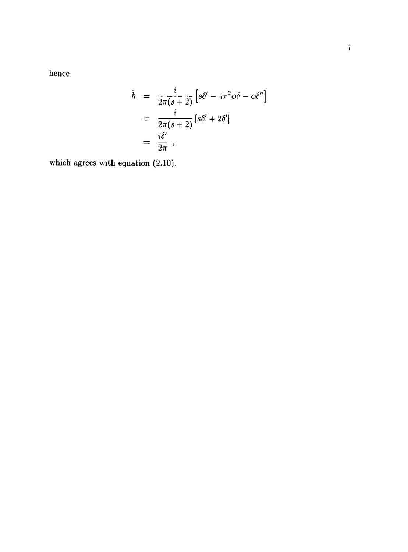hence

$$
\tilde{h} = \frac{i}{2\pi(s+2)} \left[ s\delta' - 4\pi^2 \phi \delta - \phi \delta'' \right]
$$

$$
= \frac{i}{2\pi(s+2)} \left[ s\delta' + 2\delta' \right]
$$

$$
= \frac{i\delta'}{2\pi},
$$

which agrees with equation (2.10).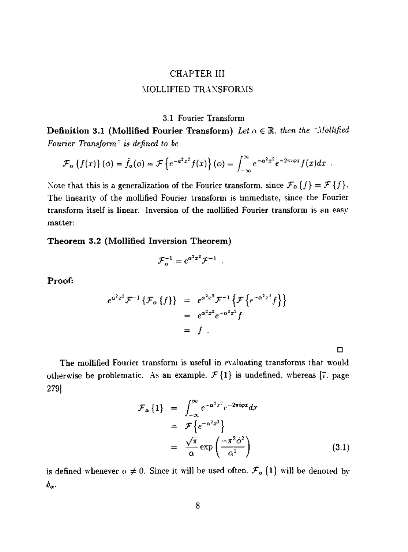# CHAPTER HI MOLLIFIED TRAXSFORMS

#### 3.1 Fourier Transform

**Definition 3.1 (Mollified Fourier Transform)** Let  $\alpha \in \mathbb{R}$ . then the "Mollified *Fourier Transform" is defined to be* 

$$
\mathcal{F}_{\alpha}\left\{f(x)\right\}(\phi)=\tilde{f}_{\alpha}(\phi)=\mathcal{F}\left\{e^{-\mathbf{e}^{2}x^{2}}f(x)\right\}(\phi)=\int_{-\infty}^{\infty}e^{-\mathbf{e}^{2}x^{2}}e^{-2\pi i\phi x}f(x)dx.
$$

Note that this is a generalization of the Fourier transform, since  $\mathcal{F}_0$  { $f$ } =  $\mathcal{F}$  { $f$ }. The linearity of the mollified Fourier transform is immediate, since the Fourier transform itself is linear. Inversion of the mollified Fourier transform is an easy matter:

Theorem 3.2 (Mollified Inversion Theorem)

$$
{\cal F}_\alpha^{-1}=e^{\alpha^2x^2}{\cal F}^{-1}\;\;.
$$

Proof:

$$
e^{a^{2}x^{2}} \mathcal{F}^{-1} \{ \mathcal{F}_{\alpha} \{ f \} \} = e^{\alpha^{2}x^{2}} \mathcal{F}^{-1} \{ \mathcal{F} \{ e^{-\alpha^{2}x^{2}} f \} \} = e^{\alpha^{2}x^{2}} e^{-\alpha^{2}x^{2}} f = f
$$

**D** 

The mollified Fourier transform is useful in evaluating transforms that would otherwise be problematic. As an example.  $\mathcal{F}\lbrace 1 \rbrace$  is undefined, whereas [7. page 279]

$$
\mathcal{F}_{\alpha} \{1\} = \int_{-\infty}^{\infty} e^{-\alpha^2 x^2} e^{-2\pi i \varphi x} dx
$$
  
\n
$$
= \mathcal{F} \{e^{-\alpha^2 x^2}\}
$$
  
\n
$$
= \frac{\sqrt{\pi}}{\alpha} \exp\left(\frac{-\pi^2 \phi^2}{\alpha^2}\right)
$$
 (3.1)

is defined whenever  $\alpha \neq 0$ . Since it will be used often,  $\mathcal{F}_{\alpha}$  {1} will be denoted by *ba-*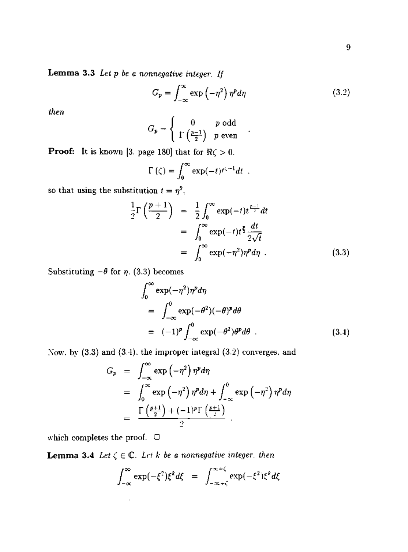**Lemma 3.3** *Let p be a nonnegative integer. If* 

$$
G_p = \int_{-\infty}^{\infty} \exp\left(-\eta^2\right) \eta^p d\eta \tag{3.2}
$$

*then* 

$$
G_p = \left\{ \begin{array}{cc} 0 & p \text{ odd} \\ \Gamma\left(\frac{p-1}{2}\right) & p \text{ even} \end{array} \right. .
$$

**Proof:** It is known [3. page 180] that for  $\Re \zeta > 0$ .

$$
\Gamma(\zeta) = \int_0^\infty \exp(-t) t^{\zeta-1} dt \enspace .
$$

so that using the substitution  $t = \eta^2$ ,

$$
\frac{1}{2}\Gamma\left(\frac{p+1}{2}\right) = \frac{1}{2}\int_0^\infty \exp(-t)t^{\frac{p-1}{2}}dt
$$

$$
= \int_0^\infty \exp(-t)t^{\frac{p}{2}}\frac{dt}{2\sqrt{t}}
$$

$$
= \int_0^\infty \exp(-\eta^2)\eta^p d\eta . \tag{3.3}
$$

Substituting  $-\theta$  for  $\eta$ . (3.3) becomes

$$
\int_0^\infty \exp(-\eta^2)\eta^p d\eta
$$
  
= 
$$
\int_{-\infty}^0 \exp(-\theta^2)(-\theta)^p d\theta
$$
  
= 
$$
(-1)^p \int_{-\infty}^0 \exp(-\theta^2)\theta^p d\theta
$$
 (3.4)

Now. by  $(3.3)$  and  $(3.4)$ . the improper integral  $(3.2)$  converges, and

$$
G_p = \int_{-\infty}^{\infty} \exp(-\eta^2) \eta^p d\eta
$$
  
= 
$$
\int_{0}^{\infty} \exp(-\eta^2) \eta^p d\eta + \int_{-\infty}^{0} \exp(-\eta^2) \eta^p d\eta
$$
  
= 
$$
\frac{\Gamma(\frac{p+1}{2}) + (-1)^p \Gamma(\frac{p+1}{2})}{2}.
$$

which completes the proof.  $\ \Box$ 

J,

**Lemma 3.4** Let  $\zeta \in \mathbb{C}$ . Let k be a nonnegative integer, then

$$
\int_{-\infty}^{\infty} \exp(-\xi^2) \xi^k d\xi = \int_{-\infty + \zeta}^{\infty + \zeta} \exp(-\xi^2) \xi^k d\xi
$$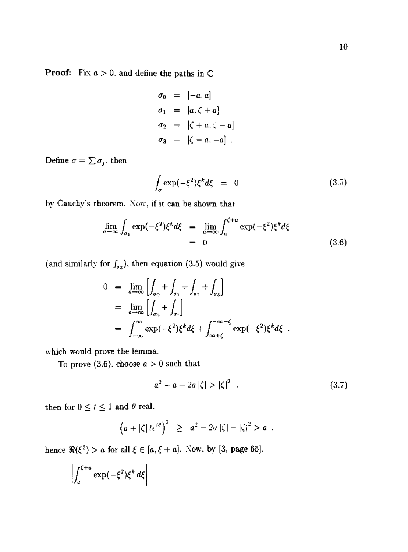**Proof:** Fix  $a > 0$ , and define the paths in  $\mathbb C$ 

$$
\sigma_0 = [-a, a]
$$
  
\n
$$
\sigma_1 = [a, \zeta + a]
$$
  
\n
$$
\sigma_2 = [\zeta + a, \zeta - a]
$$
  
\n
$$
\sigma_3 = [\zeta - a, -a]
$$
.

Define  $\sigma = \sum \sigma_j.$  then

$$
\int_{\sigma} \exp(-\xi^2) \xi^k d\xi = 0 \tag{3.5}
$$

by Cauchy's theorem. Now, if it can be shown that

$$
\lim_{a \to \infty} \int_{\sigma_1} \exp(-\xi^2) \xi^k d\xi = \lim_{a \to \infty} \int_a^{\zeta + a} \exp(-\xi^2) \xi^k d\xi
$$
\n
$$
= 0
$$
\n(3.6)

(and similarly for  $f_{\sigma_3}$ ), then equation (3.5) would give

$$
0 = \lim_{\alpha \to \infty} \left[ \int_{\sigma_0} + \int_{\sigma_1} + \int_{\sigma_2} + \int_{\sigma_3} \right]
$$
  
\n
$$
= \lim_{\alpha \to \infty} \left[ \int_{\sigma_0} + \int_{\sigma_2} \right]
$$
  
\n
$$
= \int_{-\infty}^{\infty} \exp(-\xi^2) \xi^k d\xi + \int_{\infty + \zeta}^{-\infty + \zeta} \exp(-\xi^2) \xi^k d\xi.
$$

which would prove the lemma.

To prove (3.6). choose  $a > 0$  such that

$$
a^2 - a - 2a |\zeta| > |\zeta|^2 \quad . \tag{3.7}
$$

then for  $0 \le t \le 1$  and  $\theta$  real,

$$
\left(a+|\zeta|t\epsilon^{i\theta}\right)^2 \geq a^2-2a|\zeta|-|\zeta|^2>a.
$$

hence  $\Re(\xi^2) > a$  for all  $\xi \in [a, \xi + a]$ . Now, by [3, page 65].

$$
\left| \int_{a}^{\zeta+a} \exp(-\xi^2) \xi^k d\xi \right|
$$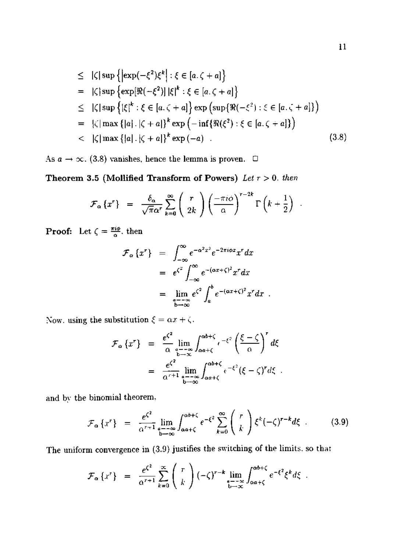$$
\leq |\zeta| \sup \{ |\exp(-\xi^2)\xi^k| : \xi \in [a, \zeta + a] \}
$$
\n
$$
= |\zeta| \sup \{ \exp[\Re(-\xi^2)] | \xi|^k : \xi \in [a, \zeta + a] \}
$$
\n
$$
\leq |\zeta| \sup \{ |\xi|^k : \xi \in [a, \zeta + a] \} \exp \left( \sup \{ \Re(-\xi^2) : \xi \in [a, \zeta + a] \} \right)
$$
\n
$$
= |\zeta| \max \{ |a| | |\zeta + a| \}^k \exp \left( -\inf \{ \Re(\xi^2) : \xi \in [a, \zeta + a] \} \right)
$$
\n
$$
< |\zeta| \max \{ |a| | |\zeta + a| \}^k \exp(-a) . \tag{3.8}
$$

As  $a \to \infty$ . (3.8) vanishes, hence the lemma is proven.  $\Box$ 

**Theorem 3.5 (Mollified Transform of Powers)** *Let* r > 0. *then* 

$$
\mathcal{F}_{\alpha}\left\{x^r\right\} = \frac{\delta_{\alpha}}{\sqrt{\pi}\alpha^r} \sum_{k=0}^{\infty} \left(\begin{array}{c} r \\ 2k \end{array}\right) \left(\frac{-\pi i \phi}{\alpha}\right)^{r-2k} \Gamma\left(k+\frac{1}{2}\right) .
$$

**Proof:** Let  $\zeta = \frac{\pi i \phi}{\alpha}$ , then

$$
\mathcal{F}_{\alpha} \{x^r\} = \int_{-\infty}^{\infty} e^{-\alpha^2 x^2} e^{-2\pi i \phi x} x^r dx
$$
  
\n
$$
= e^{\zeta^2} \int_{-\infty}^{\infty} e^{-(\alpha x + \zeta)^2} x^r dx
$$
  
\n
$$
= \lim_{\substack{a = -\infty \\ b \to \infty}} e^{\zeta^2} \int_a^b e^{-(\alpha x + \zeta)^2} x^r dx.
$$

Now, using the substitution  $\xi = \alpha x + \zeta$ .

$$
\mathcal{F}_{\alpha} \{x^r\} = \frac{e^{\zeta^2}}{\alpha} \lim_{\substack{a \to -\infty \\ b \to \infty}} \int_{\alpha a + \zeta}^{\alpha b + \zeta} e^{-\xi^2} \left(\frac{\xi - \zeta}{\alpha}\right)^r d\xi
$$

$$
= \frac{e^{\zeta^2}}{\alpha^{r+1}} \lim_{\substack{a \to -\infty \\ b \to \infty}} \int_{\alpha a + \zeta}^{\alpha b + \zeta} e^{-\xi^2} (\xi - \zeta)^r d\xi.
$$

and by the binomial theorem,

$$
\mathcal{F}_{\alpha}\left\{x^{r}\right\} = \frac{e^{\zeta^{2}}}{\alpha^{r+1}} \lim_{\substack{a \to -\infty \\ b \to \infty}} \int_{\alpha a + \zeta}^{\alpha b + \zeta} e^{-\xi^{2}} \sum_{k=0}^{\infty} \binom{r}{k} \xi^{k} (-\zeta)^{r-k} d\xi . \tag{3.9}
$$

The uniform convergence in  $(3.9)$  justifies the switching of the limits. so that

$$
\mathcal{F}_{\alpha}\left\{x^r\right\} = \frac{e^{\zeta^2}}{\alpha^{r+1}} \sum_{k=0}^{\infty} \binom{r}{k} \left(-\zeta\right)^{r-k} \lim_{\substack{a=-\infty\\b\to\infty}} \int_{\alpha a+\zeta}^{\alpha b+\zeta} e^{-\xi^2} \xi^k d\xi.
$$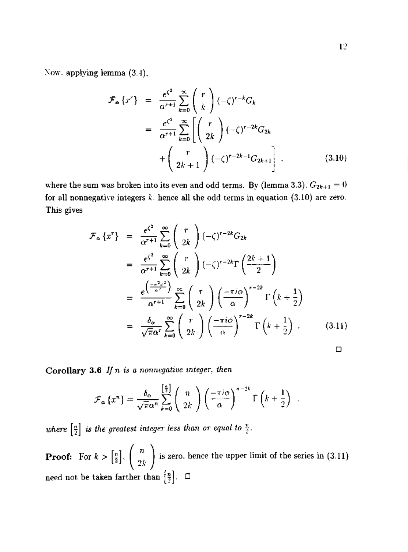Xow. applying lemma (3.4),

$$
\mathcal{F}_{\alpha}\left\{x^{r}\right\} = \frac{e^{\zeta^{2}}}{\alpha^{r+1}} \sum_{k=0}^{\infty} {r \choose k} (-\zeta)^{r-k} G_{k}
$$
\n
$$
= \frac{e^{\zeta^{2}}}{\alpha^{r+1}} \sum_{k=0}^{\infty} \left[ {r \choose 2k} (-\zeta)^{r-2k} G_{2k} + {r \choose 2k+1} (-\zeta)^{r-2k-1} G_{2k+1} \right]. \tag{3.10}
$$

where the sum was broken into its even and odd terms. By (lemma 3.3).  $G_{2k+1} = 0$ for all nonnegative integers *k.* hence all the odd terms in equation (3.10) are zero. This gives

$$
\mathcal{F}_{\alpha}\left\{x^r\right\} = \frac{e^{\zeta^2}}{\alpha^{r+1}} \sum_{k=0}^{\infty} \binom{r}{2k} \left(-\zeta\right)^{r-2k} G_{2k}
$$
\n
$$
= \frac{e^{\zeta^2}}{\alpha^{r+1}} \sum_{k=0}^{\infty} \binom{r}{2k} \left(-\zeta\right)^{r-2k} \Gamma\left(\frac{2k+1}{2}\right)
$$
\n
$$
= \frac{e^{\left(-\frac{\pi^2 c^2}{\alpha^2}\right)}}{\alpha^{r+1}} \sum_{k=0}^{\infty} \binom{r}{2k} \left(-\frac{\pi i \omega}{\alpha}\right)^{r-2k} \Gamma\left(k+\frac{1}{2}\right)
$$
\n
$$
= \frac{\delta_{\alpha}}{\sqrt{\pi} \alpha^r} \sum_{k=0}^{\infty} \binom{r}{2k} \left(-\frac{\pi i \omega}{\alpha}\right)^{r-2k} \Gamma\left(k+\frac{1}{2}\right) . \tag{3.11}
$$

**Corollary 3.6** *If n is a nonnegative integer, then* 

$$
\mathcal{F}_{\alpha}\left\{x^{n}\right\} = \frac{\delta_{\alpha}}{\sqrt{\pi}\alpha^{n}}\sum_{k=0}^{\left[\frac{n}{2}\right]} \binom{n}{2k} \left(\frac{-\pi i\phi}{\alpha}\right)^{n-2k} \Gamma\left(k+\frac{1}{2}\right)
$$

where  $\left[\frac{n}{2}\right]$  is the greatest integer less than or equal to  $\frac{n}{2}$ .

**Proof:** For  $k > \left[\frac{n}{2}\right]$ ,  $\left(\begin{array}{c}n\\n\end{array}\right)$ *2k*  is zero, hence the upper limit of the series in (3.11) need not be taken farther than  $\left[\frac{n}{2}\right]$ .  $\Box$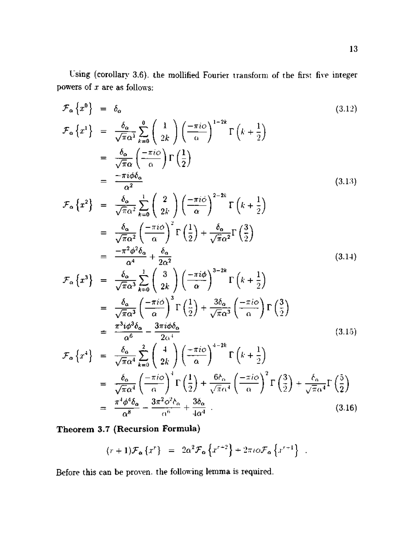Using (corollary 3.6). the mollified Fourier transform of the first five integer powers of *x* are as follows:

$$
\mathcal{F}_{\alpha}\left\{x^{0}\right\} = \delta_{\alpha} \qquad (3.12)
$$
\n
$$
\mathcal{F}_{\alpha}\left\{x^{1}\right\} = \frac{\delta_{\alpha}}{\sqrt{\pi}\alpha^{1}}\sum_{k=0}^{0} \binom{1}{2k} \left(\frac{-\pi i\phi}{\alpha}\right)^{1-2k} \Gamma\left(k+\frac{1}{2}\right)
$$
\n
$$
= \frac{\delta_{\alpha}}{\sqrt{\pi}\alpha} \left(\frac{-\pi i\phi}{\alpha}\right) \Gamma\left(\frac{1}{2}\right)
$$
\n
$$
= \frac{-\pi i\phi\delta_{\alpha}}{\alpha^{2}} \qquad (3.13)
$$
\n
$$
\mathcal{F}_{\alpha}\left\{x^{2}\right\} = \frac{\delta_{\alpha}}{\sqrt{\pi}\alpha^{2}}\sum_{k=0}^{1} \binom{2}{2k} \left(\frac{-\pi i\phi}{\alpha}\right)^{2-2k} \Gamma\left(k+\frac{1}{2}\right)
$$
\n
$$
= \frac{\delta_{\alpha}}{\sqrt{\pi}\alpha^{2}} \left(\frac{-\pi i\phi}{\alpha}\right)^{2} \Gamma\left(\frac{1}{2}\right) + \frac{\delta_{\alpha}}{\sqrt{\pi}\alpha^{2}} \Gamma\left(\frac{3}{2}\right)
$$
\n
$$
= \frac{-\pi^{2}\phi^{2}\delta_{\alpha}}{\alpha^{4}} + \frac{\delta_{\alpha}}{2\alpha^{2}} \qquad (3.14)
$$
\n
$$
\mathcal{F}_{\alpha}\left\{x^{3}\right\} = \frac{\delta_{\alpha}}{\sqrt{\pi}\alpha^{3}}\sum_{k=0}^{1} \binom{3}{2k} \left(\frac{-\pi i\phi}{\alpha}\right)^{3-2k} \Gamma\left(k+\frac{1}{2}\right)
$$
\n
$$
= \frac{\delta_{\alpha}}{\sqrt{\pi}\alpha^{3}} \left(\frac{-\pi i\phi}{\alpha}\right)^{3} \Gamma\left(\frac{1}{2}\right) + \frac{3\delta_{\alpha}}{\sqrt{\pi}\alpha^{3}} \left(\frac{-\pi i\phi}{\alpha}\right) \Gamma\left(\frac{3}{2}\right)
$$
\n
$$
= \frac{\pi^{3}i\phi^{3}\delta_{\alpha}}{\alpha^{6}} - \frac{3\pi i\phi\delta_{\alpha}}{2\alpha^{1}}
$$
\n
$$
\mathcal{F}_{\alpha}\left\{x^{
$$

**Theorem 3.7 (Recursion Formula)** 

$$
(r+1)\mathcal{F}_{\alpha}\left\{x^{r}\right\} = 2\alpha^{2}\mathcal{F}_{\alpha}\left\{x^{r+2}\right\} + 2\pi i\omega\mathcal{F}_{\alpha}\left\{x^{r+1}\right\} .
$$

Before this can be proven, the following lemma is required.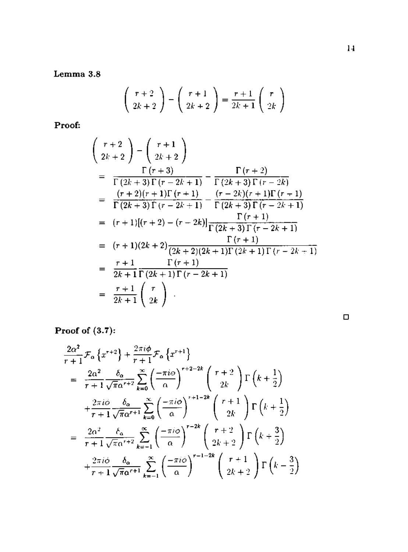Lemma 3.8

$$
\left(\begin{array}{c}r+2\\2k+2\end{array}\right)-\left(\begin{array}{c}r+1\\2k+2\end{array}\right)=\frac{r+1}{2k+1}\left(\begin{array}{c}r\\2k\end{array}\right)
$$

Proof:

$$
\begin{pmatrix}\nr+2 \\
2k+2\n\end{pmatrix} - \begin{pmatrix}\nr+1 \\
2k+2\n\end{pmatrix}
$$
\n
$$
= \frac{\Gamma(r+3)}{\Gamma(2k+3)\Gamma(r-2k+1)} - \frac{\Gamma(r+2)}{\Gamma(2k+3)\Gamma(r-2k)}
$$
\n
$$
= \frac{(r+2)(r+1)\Gamma(r+1)}{\Gamma(2k+3)\Gamma(r-2k+1)} - \frac{(r-2k)(r+1)\Gamma(r+1)}{\Gamma(2k+3)\Gamma(r-2k+1)}
$$
\n
$$
= (r+1)[(r+2) - (r-2k)] \frac{\Gamma(r+1)}{\Gamma(2k+3)\Gamma(r-2k+1)}
$$
\n
$$
= (r+1)(2k+2) \frac{\Gamma(r+1)}{(2k+2)(2k+1)\Gamma(2k+1)\Gamma(r-2k+1)}
$$
\n
$$
= \frac{r+1}{2k+1} \frac{\Gamma(r+1)}{\Gamma(2k+1)\Gamma(r-2k+1)}
$$
\n
$$
= \frac{r+1}{2k+1} \begin{pmatrix} r \\ 2k \end{pmatrix}.
$$

**D** 

Proof of (3.7):

$$
\frac{2\alpha^{2}}{r+1}\mathcal{F}_{\alpha}\left\{x^{r+2}\right\} + \frac{2\pi i\phi}{r+1}\mathcal{F}_{\alpha}\left\{x^{r+1}\right\}
$$
\n
$$
= \frac{2\alpha^{2}}{r+1}\frac{\delta_{\alpha}}{\sqrt{\pi}\alpha^{r+2}}\sum_{k=0}^{\infty}\left(\frac{-\pi i\phi}{\alpha}\right)^{r+2-2k}\binom{r+2}{2k}\Gamma\left(k+\frac{1}{2}\right)
$$
\n
$$
+ \frac{2\pi i\phi}{r+1}\frac{\delta_{\alpha}}{\sqrt{\pi}\alpha^{r+1}}\sum_{k=0}^{\infty}\left(\frac{-\pi i\phi}{\alpha}\right)^{r+1-2k}\binom{r+1}{2k}\Gamma\left(k+\frac{1}{2}\right)
$$
\n
$$
= \frac{2\alpha^{2}}{r+1}\frac{\delta_{\alpha}}{\sqrt{\pi}\alpha^{r+2}}\sum_{k=-1}^{\infty}\left(\frac{-\pi i\phi}{\alpha}\right)^{r-2k}\binom{r+2}{2k+2}\Gamma\left(k+\frac{3}{2}\right)
$$
\n
$$
+ \frac{2\pi i\phi}{r+1}\frac{\delta_{\alpha}}{\sqrt{\pi}\alpha^{r+1}}\sum_{k=-1}^{\infty}\left(\frac{-\pi i\phi}{\alpha}\right)^{r-1-2k}\binom{r+1}{2k+2}\Gamma\left(k-\frac{3}{2}\right)
$$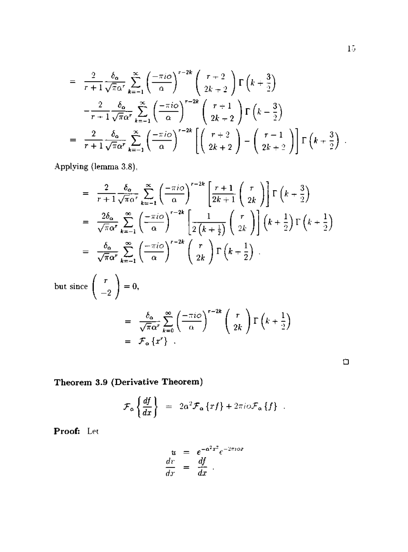$$
= \frac{2}{r+1} \frac{\delta_{\alpha}}{\sqrt{\pi} \alpha^{r}} \sum_{k=-1}^{\infty} \left(\frac{-\pi i \phi}{\alpha}\right)^{r-2k} \left(\frac{r+2}{2k+2}\right) \Gamma\left(k+\frac{3}{2}\right)
$$

$$
- \frac{2}{r+1} \frac{\delta_{\alpha}}{\sqrt{\pi} \alpha^{r}} \sum_{k=-1}^{\infty} \left(\frac{-\pi i \phi}{\alpha}\right)^{r-2k} \left(\frac{r+1}{2k+2}\right) \Gamma\left(k-\frac{3}{2}\right)
$$

$$
= \frac{2}{r+1} \frac{\delta_{\alpha}}{\sqrt{\pi} \alpha^{r}} \sum_{k=-1}^{\infty} \left(\frac{-\pi i \phi}{\alpha}\right)^{r-2k} \left[\left(\frac{r+2}{2k+2}\right) - \left(\frac{r-1}{2k+2}\right)\right] \Gamma\left(k+\frac{3}{2}\right).
$$

Applying (lemma 3.8),

$$
= \frac{2}{r+1} \frac{\delta_{\alpha}}{\sqrt{\pi} \alpha^{r}} \sum_{k=-1}^{\infty} \left(\frac{-\pi i \phi}{\alpha}\right)^{r-2k} \left[\frac{r+1}{2k+1} \binom{r}{2k}\right] \Gamma\left(k+\frac{3}{2}\right)
$$
  
\n
$$
= \frac{2\delta_{\alpha}}{\sqrt{\pi} \alpha^{r}} \sum_{k=-1}^{\infty} \left(\frac{-\pi i \phi}{\alpha}\right)^{r-2k} \left[\frac{1}{2\left(k+\frac{1}{2}\right)} \binom{r}{2k}\right] \left(k+\frac{1}{2}\right) \Gamma\left(k+\frac{1}{2}\right)
$$
  
\n
$$
= \frac{\delta_{\alpha}}{\sqrt{\pi} \alpha^{r}} \sum_{k=-1}^{\infty} \left(\frac{-\pi i \phi}{\alpha}\right)^{r-2k} \binom{r}{2k} \Gamma\left(k+\frac{1}{2}\right)
$$

but since 
$$
\begin{pmatrix} r \\ -2 \end{pmatrix} = 0
$$
,  
\n
$$
= \frac{\delta_{\alpha}}{\sqrt{\pi} \alpha^{r}} \sum_{k=0}^{\infty} \left( \frac{-\pi i \phi}{\alpha} \right)^{r-2k} \left( \frac{r}{2k} \right) \Gamma \left( k + \frac{1}{2} \right)
$$
\n
$$
= \mathcal{F}_{\alpha} \{r^{r}\}.
$$

 $\Box$ 

Theorem 3.9 (Derivative Theorem)

$$
\mathcal{F}_{\alpha} \left\{ \frac{df}{dx} \right\} = 2\alpha^2 \mathcal{F}_{\alpha} \left\{ rf \right\} + 2\pi i \omega \mathcal{F}_{\alpha} \left\{ f \right\} .
$$

Proof: Let

$$
u = e^{-\alpha^2 x^2} e^{-2\pi i \omega x}
$$
  

$$
\frac{dv}{dx} = \frac{df}{dx}.
$$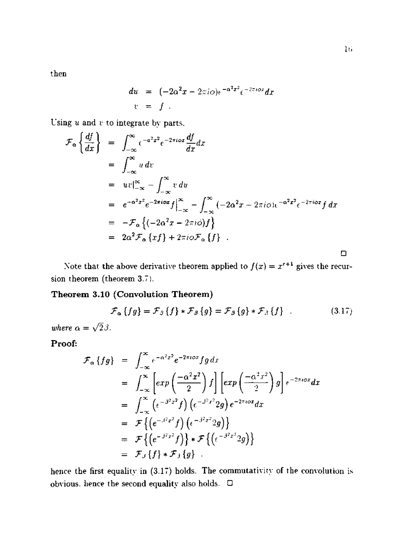$then$ 

$$
du = (-2\alpha^2 x - 2\pi i\omega)\epsilon^{-\alpha^2 x^2} \epsilon^{-2\pi i\omega x} dx
$$
  

$$
v = f.
$$

Using  $u$  and  $v$  to integrate by parts.

$$
\mathcal{F}_{\alpha} \left\{ \frac{df}{dx} \right\} = \int_{-\infty}^{\infty} e^{-a^2 x^2} e^{-2\pi i \omega x} \frac{df}{dx} dx
$$
  
\n
$$
= \int_{-\infty}^{\infty} u \, dv
$$
  
\n
$$
= uv \Big|_{-\infty}^{\infty} - \int_{-\infty}^{\infty} v \, du
$$
  
\n
$$
= e^{-a^2 x^2} e^{-2\pi i \omega x} f \Big|_{-\infty}^{\infty} - \int_{-\infty}^{\infty} (-2\alpha^2 x - 2\pi i \omega) e^{-a^2 x^2} e^{-2\pi i \omega x} f \, dx
$$
  
\n
$$
= -\mathcal{F}_{\alpha} \left\{ (-2a^2 x - 2\pi i \omega) f \right\}
$$
  
\n
$$
= 2a^2 \mathcal{F}_{\alpha} \left\{ x f \right\} + 2\pi i \omega \mathcal{F}_{\alpha} \left\{ f \right\} .
$$

Note that the above derivative theorem applied to  $f(x) = x^{r+1}$  gives the recursion theorem (theorem 3.7).

## Theorem 3.10 (Convolution Theorem)

$$
\mathcal{F}_{\alpha}\left\{fg\right\} = \mathcal{F}_{\beta}\left\{f\right\} * \mathcal{F}_{\beta}\left\{g\right\} = \mathcal{F}_{\beta}\left\{g\right\} * \mathcal{F}_{\beta}\left\{f\right\} \quad . \tag{3.17}
$$

where  $\alpha=\sqrt{2}\beta.$ 

## Proof:

$$
\mathcal{F}_{\alpha} \{ fg \} = \int_{-\infty}^{\infty} e^{-\alpha^{2}x^{2}} e^{-2\pi i \omega x} fg \, dx
$$
  
\n
$$
= \int_{-\infty}^{\infty} \left[ exp\left(\frac{-\alpha^{2}x^{2}}{2}\right) f \right] \left[ exp\left(\frac{-\alpha^{2}x^{2}}{2}\right) g \right] e^{-2\pi i \omega x} dx
$$
  
\n
$$
= \int_{-\infty}^{\infty} \left( e^{-\beta^{2}x^{2}} f \right) \left( e^{-\beta^{2}x^{2}} 2g \right) e^{-2\pi i \omega x} dx
$$
  
\n
$$
= \mathcal{F} \left\{ \left( e^{-\beta^{2}x^{2}} f \right) \left( e^{-\beta^{2}x^{2}} 2g \right) \right\}
$$
  
\n
$$
= \mathcal{F} \left\{ \left( e^{-\beta^{2}x^{2}} f \right) \right\} \ast \mathcal{F} \left\{ \left( e^{-\beta^{2}x^{2}} 2g \right) \right\}
$$
  
\n
$$
= \mathcal{F}_{\beta} \{ f \} \ast \mathcal{F}_{\beta} \{ g \} .
$$

hence the first equality in  $(3.17)$  holds. The commutativity of the convolution is obvious, hence the second equality also holds.  $\Box$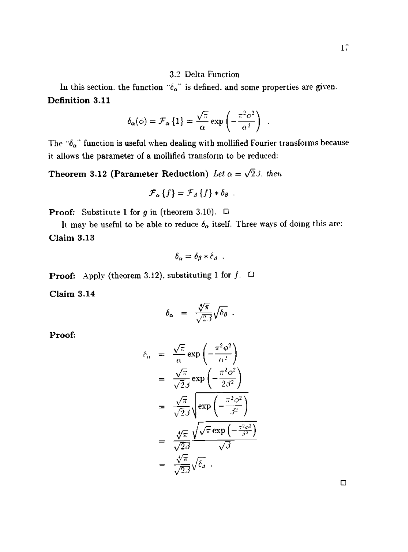#### 3.2 Delta Function

In this section, the function " $\delta_{\alpha}$ " is defined, and some properties are given. **Definition 3.11** 

$$
\delta_{\alpha}(\phi) = \mathcal{F}_{\alpha} \{1\} = \frac{\sqrt{\pi}}{\alpha} \exp \left(-\frac{\pi^2 \phi^2}{\alpha^2}\right) .
$$

The *"ba'* function is useful when dealing with mollified Fourier transforms because it allows the parameter of a mollified transform to be reduced:

**Theorem 3.12 (Parameter Reduction)** Let  $\alpha = \sqrt{2} \beta$ , then

$$
\mathcal{F}_{\alpha}\left\{f\right\}=\mathcal{F}_{\beta}\left\{f\right\}*\delta_{\beta}.
$$

**Proof:** Substitute 1 for  $g$  in (theorem 3.10).  $\Box$ 

It may be useful to be able to reduce  $\delta_{\alpha}$  itself. Three ways of doing this are: **Claim 3.13** 

$$
\delta_\alpha = \delta_\beta * \delta_\beta \enspace .
$$

**Proof:** Apply (theorem 3.12), substituting 1 for  $f$ .  $\Box$ 

**Claim 3.14** 

$$
\delta_{\alpha} = \frac{\sqrt[4]{\pi}}{\sqrt{2\beta}} \sqrt{\delta_{\beta}}.
$$

**Proof:** 

$$
\begin{array}{rcl}\n\delta_{\alpha} & = & \frac{\sqrt{\pi}}{\alpha} \exp\left(-\frac{\pi^2 \phi^2}{\alpha^2}\right) \\
& = & \frac{\sqrt{\pi}}{\sqrt{2}\beta} \exp\left(-\frac{\pi^2 \phi^2}{2\beta^2}\right) \\
& = & \frac{\sqrt{\pi}}{\sqrt{2}\beta} \sqrt{\exp\left(-\frac{\pi^2 \phi^2}{\beta^2}\right)} \\
& = & \frac{\sqrt{\pi}}{\sqrt{2}\beta} \frac{\sqrt{\sqrt{\pi}} \exp\left(-\frac{\pi^2 \phi^2}{\beta^2}\right)}{\sqrt{\beta}} \\
& = & \frac{\sqrt{\pi}}{\sqrt{2}\beta} \sqrt{\delta_{\beta}} \,.\n\end{array}
$$

**D**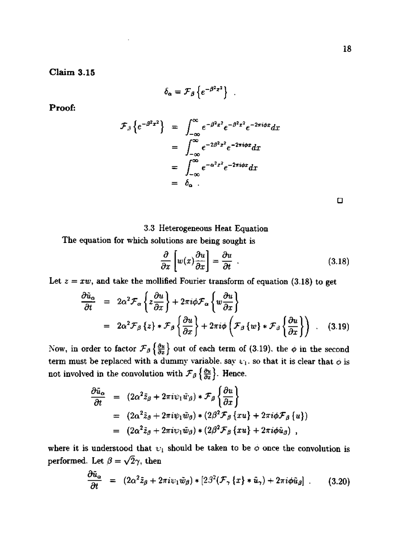**Claim 3.15** 

$$
\delta_{\alpha} = \mathcal{F}_{\beta} \left\{ e^{-\beta^2 z^2} \right\} .
$$

**Proof:** 

$$
\mathcal{F}_{\beta}\left\{e^{-\beta^2x^2}\right\} = \int_{-\infty}^{\infty} e^{-\beta^2x^2} e^{-\beta^2x^2} e^{-2\pi i\phi x} dx
$$

$$
= \int_{-\infty}^{\infty} e^{-2\beta^2x^2} e^{-2\pi i\phi x} dx
$$

$$
= \int_{-\infty}^{\infty} e^{-\alpha^2x^2} e^{-2\pi i\phi x} dx
$$

$$
= \delta_{\alpha}.
$$

**n** 

#### 3.3 Heterogeneous Heat Equation

The equation for which solutions are being sought is

$$
\frac{\partial}{\partial x}\left[w(x)\frac{\partial u}{\partial x}\right] = \frac{\partial u}{\partial t} \tag{3.18}
$$

Let  $z = xw$ , and take the mollified Fourier transform of equation (3.18) to get

$$
\frac{\partial \tilde{u}_{\alpha}}{\partial t} = 2\alpha^2 \mathcal{F}_{\alpha} \left\{ z \frac{\partial u}{\partial x} \right\} + 2\pi i \phi \mathcal{F}_{\alpha} \left\{ w \frac{\partial u}{\partial x} \right\} \n= 2\alpha^2 \mathcal{F}_{\beta} \left\{ z \right\} * \mathcal{F}_{\beta} \left\{ \frac{\partial u}{\partial x} \right\} + 2\pi i \phi \left( \mathcal{F}_{\beta} \left\{ w \right\} * \mathcal{F}_{\beta} \left\{ \frac{\partial u}{\partial x} \right\} \right) .
$$
\n(3.19)

Now, in order to factor  $\mathcal{F}_{\beta}\left\{\frac{\partial u}{\partial x}\right\}$  out of each term of (3.19). the  $\phi$  in the second term must be replaced with a dummy variable, say  $\psi_1$ , so that it is clear that  $\phi$  is not involved in the convolution with  $\mathcal{F}_{\beta}\left\{\frac{\partial u}{\partial x}\right\}$ . Hence.

$$
\frac{\partial \tilde{u}_{\alpha}}{\partial t} = (2\alpha^2 \tilde{z}_{\beta} + 2\pi i \psi_1 \tilde{w}_{\beta}) * \mathcal{F}_{\beta} \left\{ \frac{\partial u}{\partial x} \right\} \n= (2\alpha^2 \tilde{z}_{\beta} + 2\pi i \psi_1 \tilde{w}_{\beta}) * (2\beta^2 \mathcal{F}_{\beta} \{xu\} + 2\pi i \phi \mathcal{F}_{\beta} \{u\}) \n= (2\alpha^2 \tilde{z}_{\beta} + 2\pi i \psi_1 \tilde{w}_{\beta}) * (2\beta^2 \mathcal{F}_{\beta} \{xu\} + 2\pi i \phi \tilde{u}_{\beta}) ,
$$

where it is understood that  $v_i$  should be taken to be  $\phi$  once the convolution is performed. Let  $\beta = \sqrt{2}\gamma$ , then

$$
\frac{\partial \tilde{u}_{\alpha}}{\partial t} = (2\alpha^2 \tilde{z}_{\beta} + 2\pi i \psi_1 \tilde{w}_{\beta}) * [2\beta^2 (\mathcal{F}_{\gamma} \{x\} * \tilde{u}_{\gamma}) + 2\pi i \phi \tilde{u}_{\beta}] \ . \qquad (3.20)
$$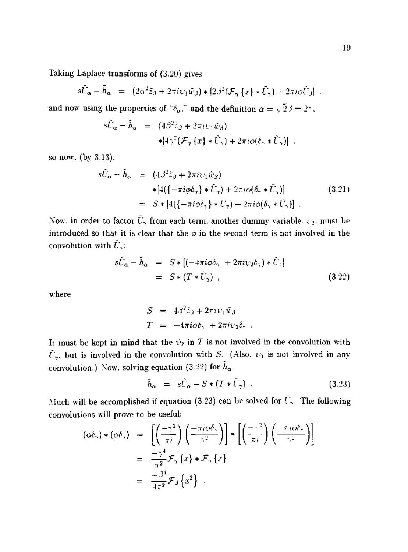Taking Laplace transforms of (3.20) gives

$$
s\tilde{U}_{\alpha} - \tilde{h}_{\alpha} = (2\alpha^2 \tilde{z}_3 + 2\pi i \psi_1 \tilde{w}_3) * [2\beta^2 (\mathcal{F}_{\gamma} \{x\} * \tilde{U}_{\gamma}) + 2\pi i \tilde{O} \tilde{U}_3]
$$

and now using the properties of " $\delta_{\alpha}$ ." and the definition  $\alpha = \sqrt{2}\beta = 2$ ".

$$
s\tilde{U}_{\alpha} - \tilde{h}_{\alpha} = (4\beta^2 \tilde{z}_{\beta} + 2\pi i \psi_1 \tilde{w}_{\beta})
$$
  

$$
* [4\gamma^2 (\mathcal{F}_{\gamma} \{x\} * \tilde{U}_{\gamma}) + 2\pi i o(\ell_1 * \tilde{U}_{\gamma})].
$$

so now. (by 3.13).

$$
s\tilde{U}_{\alpha} - \tilde{h}_{\alpha} = (4\beta^2 \tilde{z}_{\beta} + 2\pi i \upsilon_1 \tilde{w}_{\beta})
$$
  
\n
$$
* [4(\{-\pi i\phi \delta_{\gamma}\} * \tilde{U}_{\gamma}) + 2\pi i \phi (\delta_{\gamma} * \tilde{U}_{\gamma})]
$$
  
\n
$$
= S * [4(\{-\pi i\phi \delta_{\gamma}\} * \tilde{U}_{\gamma}) + 2\pi i \phi (\delta_{\gamma} * \tilde{U}_{\gamma})].
$$
\n(3.21)

Now, in order to factor  $\tilde{U}_\gamma$  from each term, another dummy variable.  $\psi_2$ , must be introduced so that it is clear that the *o* in the second term is not involved in the convolution with *U~*:

$$
s\tilde{U}_{\alpha} - \tilde{h}_{\alpha} = S * [(-4\pi i \phi \delta_{\gamma} + 2\pi i \psi_{2} \delta_{\gamma}) * \tilde{U}_{\gamma}]
$$
  
=  $S * (T * \tilde{U}_{\gamma})$ , (3.22)

where

$$
S = 4\beta^2 \tilde{z}_3 + 2\pi i \psi_1 \tilde{w}_3
$$
  

$$
T = -4\pi i \omega \delta_3 + 2\pi i \psi_2 \delta_3.
$$

It must be kept in mind that the  $\psi_2$  in T is not involved in the convolution with  $\tilde{U}_{\gamma}$ , but is involved in the convolution with *S.* (Also.  $U_1$  is not involved in any convolution.) Now, solving equation (3.22) for  $\tilde{h}_{\alpha}$ .

$$
\tilde{h}_{\alpha} = s\tilde{U}_{\alpha} - S * (T * \tilde{U}_{\gamma}) . \qquad (3.23)
$$

Much will be accomplished if equation (3.23) can be solved for  $\tilde{U}$ ,. The following convolutions will prove to be useful:

$$
(\phi \delta_{\gamma}) * (\phi \delta_{\gamma}) = \left[ \left( \frac{-\gamma^2}{\pi i} \right) \left( \frac{-\pi i \phi \delta_{\gamma}}{\gamma^2} \right) \right] * \left[ \left( \frac{-\gamma^2}{\pi i} \right) \left( \frac{-\pi i \phi \delta_{\gamma}}{\gamma^2} \right) \right]
$$
  
=  $\frac{-\gamma^4}{\pi^2} \mathcal{F}_{\gamma} \{x\} * \mathcal{F}_{\gamma} \{x\}$   
=  $\frac{-\beta^4}{4\pi^2} \mathcal{F}_{\beta} \{x^2\} .$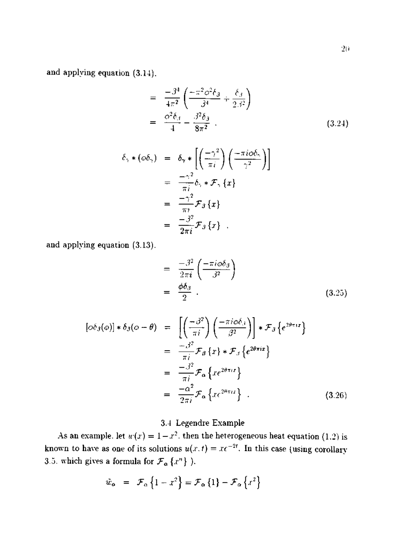and applying equation (3.14).

$$
= \frac{-\beta^4}{4\pi^2} \left( \frac{-\pi^2 \phi^2 \delta_{\beta}}{\beta^4} + \frac{\delta_{\beta}}{2\beta^2} \right)
$$
  
=  $\frac{\phi^2 \delta_{\beta}}{4} - \frac{\beta^2 \delta_{\beta}}{8\pi^2}$  (3.24)

$$
\delta_{\gamma} * (\omega \delta_{\gamma}) = \delta_{\gamma} * \left[ \left( \frac{-\gamma^2}{\pi i} \right) \left( \frac{-\pi i \omega \delta_{\gamma}}{\gamma^2} \right) \right]
$$
  
=  $\frac{-\gamma^2}{\pi i} \delta_{\gamma} * \mathcal{F}_{\gamma} \{x\}$   
=  $\frac{-\gamma^2}{\pi i} \mathcal{F}_{\beta} \{x\}$   
=  $\frac{-\beta^2}{2\pi i} \mathcal{F}_{\beta} \{x\}$ 

and applying equation (3.13).

$$
= \frac{-\beta^2}{2\pi i} \left( \frac{-\pi i \omega \delta_{\beta}}{\beta^2} \right)
$$
  

$$
= \frac{\phi \delta_{\beta}}{2} .
$$
 (3.25)

$$
[\phi \delta_{\beta}(\phi)] * \delta_{\beta}(\phi - \theta) = \left[ \left( \frac{-\beta^{2}}{\pi i} \right) \left( \frac{-\pi i \phi \delta_{\beta}}{\beta^{2}} \right) \right] * \mathcal{F}_{\beta} \{ e^{2\theta \pi i x} \}
$$
  
\n
$$
= \frac{-\beta^{2}}{\pi i} \mathcal{F}_{\beta} \{ x \} * \mathcal{F}_{\beta} \{ e^{2\theta \pi i x} \}
$$
  
\n
$$
= \frac{-\beta^{2}}{\pi i} \mathcal{F}_{\alpha} \{ x e^{2\theta \pi i x} \}
$$
  
\n
$$
= \frac{-\alpha^{2}}{2\pi i} \mathcal{F}_{\alpha} \{ x e^{2\theta \pi i x} \} .
$$
  
\n(3.26)

# 3.4 Legendre Example

As an example, let  $w(x) = 1 - x^2$ , then the heterogeneous heat equation (1.2) is known to have as one of its solutions  $u(x, t) = xe^{-2t}$ . In this case (using corollary 3.5. which gives a formula for  $\mathcal{F}_{\alpha} \{x^n\}$  ).

$$
\tilde{w}_{\alpha} = \mathcal{F}_{\alpha} \left\{ 1 - x^2 \right\} = \mathcal{F}_{\alpha} \left\{ 1 \right\} - \mathcal{F}_{\alpha} \left\{ x^2 \right\}
$$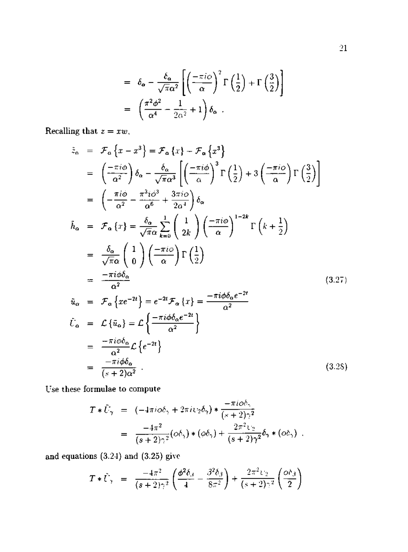$$
= \delta_{\mathbf{\alpha}} - \frac{\delta_{\mathbf{\alpha}}}{\sqrt{\pi \alpha^2}} \left[ \left( \frac{-\pi i \phi}{\alpha} \right)^2 \Gamma\left(\frac{1}{2}\right) + \Gamma\left(\frac{3}{2}\right) \right]
$$

$$
= \left( \frac{\pi^2 \phi^2}{\alpha^4} - \frac{1}{2\alpha^2} + 1 \right) \delta_{\mathbf{\alpha}}.
$$

Recalling that  $z = xw$ ,

$$
\tilde{z}_{\alpha} = \mathcal{F}_{\alpha} \{x - x^{3}\} = \mathcal{F}_{\alpha} \{x\} - \mathcal{F}_{\alpha} \{x^{3}\}
$$
\n
$$
= \left(\frac{-\pi i \phi}{\alpha^{2}}\right) \delta_{\alpha} - \frac{\delta_{\alpha}}{\sqrt{\pi \alpha^{3}}} \left[\left(\frac{-\pi i \phi}{\alpha}\right)^{3} \Gamma\left(\frac{1}{2}\right) + 3\left(\frac{-\pi i \phi}{\alpha}\right) \Gamma\left(\frac{3}{2}\right)\right]
$$
\n
$$
= \left(-\frac{\pi i \phi}{\alpha^{2}} - \frac{\pi^{3} i \phi^{3}}{\alpha^{6}} + \frac{3\pi i \phi}{2\alpha^{4}}\right) \delta_{\alpha}
$$
\n
$$
\tilde{h}_{\alpha} = \mathcal{F}_{\alpha} \{x\} = \frac{\delta_{\alpha}}{\sqrt{\pi \alpha}} \sum_{k=0}^{1} \left(\frac{1}{2k}\right) \left(-\frac{\pi i \phi}{\alpha}\right)^{1-2k} \Gamma\left(k + \frac{1}{2}\right)
$$
\n
$$
= \frac{\delta_{\alpha}}{\sqrt{\pi \alpha}} \left(\frac{1}{0}\right) \left(-\frac{\pi i \phi}{\alpha}\right) \Gamma\left(\frac{1}{2}\right)
$$
\n
$$
= \frac{-\pi i \phi \delta_{\alpha}}{\alpha^{2}}
$$
\n
$$
\tilde{u}_{\alpha} = \mathcal{F}_{\alpha} \{xe^{-2t}\} = e^{-2t} \mathcal{F}_{\alpha} \{x\} = \frac{-\pi i \phi \delta_{\alpha} e^{-2t}}{\alpha^{2}}
$$
\n
$$
\tilde{t}_{\alpha} = \mathcal{L} \{\tilde{u}_{\alpha}\} = \mathcal{L} \left\{\frac{-\pi i \phi \delta_{\alpha} e^{-2t}}{\alpha^{2}}\right\}
$$
\n
$$
= \frac{-\pi i \phi \delta_{\alpha}}{\alpha^{2}} \mathcal{L} \left\{e^{-2t}\right\}
$$
\n
$$
= \frac{-\pi i \phi \delta_{\alpha}}{\left(\frac{\pi}{2}\right)\alpha^{2}}.
$$
\n(3.25)

Use these formulae to compute

$$
T * \tilde{U}_{\gamma} = (-4\pi i \omega \delta_{\gamma} + 2\pi i \psi_{2} \delta_{\gamma}) * \frac{-\pi i \omega \delta_{\gamma}}{(s+2)\gamma^{2}}
$$
  
= 
$$
\frac{-4\pi^{2}}{(s+2)\gamma^{2}} (\omega \delta_{\gamma}) * (\omega \delta_{\gamma}) + \frac{2\pi^{2} \psi_{2}}{(s+2)\gamma^{2}} \delta_{\gamma} * (\omega \delta_{\gamma}).
$$

and equations  $(3.24)$  and  $(3.25)$  give

$$
T * \tilde{U}_{\gamma} = \frac{-4\pi^2}{(s+2)\gamma^2} \left( \frac{\phi^2 \delta_{\beta}}{4} - \frac{\beta^2 \delta_{\beta}}{8\pi^2} \right) + \frac{2\pi^2 \psi_2}{(s+2)\gamma^2} \left( \frac{\phi \delta_{\beta}}{2} \right)
$$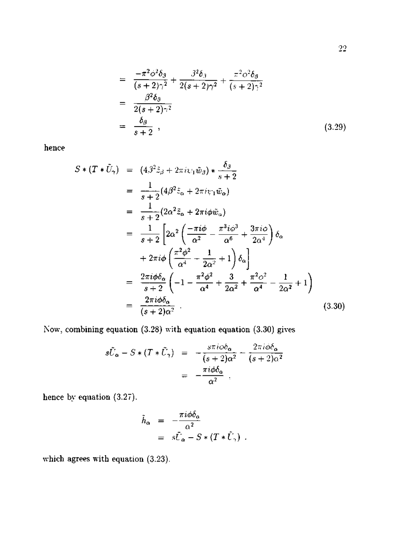$$
= \frac{-\pi^2 \phi^2 \delta_{\beta}}{(s+2)\gamma^2} + \frac{\beta^2 \delta_{\beta}}{2(s+2)\gamma^2} + \frac{\pi^2 \phi^2 \delta_{\beta}}{(s+2)\gamma^2}
$$
  

$$
= \frac{\beta^2 \delta_{\beta}}{2(s+2)\gamma^2}
$$
  

$$
= \frac{\delta_{\beta}}{s+2}, \qquad (3.29)
$$

hence

$$
S * (T * \tilde{U}_{\tau}) = (4\beta^{2} \tilde{z}_{\beta} + 2\pi i \psi_{1} \tilde{w}_{\beta}) * \frac{\delta_{\beta}}{s+2}
$$
  
\n
$$
= \frac{1}{s+2} (4\beta^{2} \tilde{z}_{\alpha} + 2\pi i \psi_{1} \tilde{w}_{\alpha})
$$
  
\n
$$
= \frac{1}{s+2} (2\alpha^{2} \tilde{z}_{\alpha} + 2\pi i \phi \tilde{w}_{\alpha})
$$
  
\n
$$
= \frac{1}{s+2} \left[ 2\alpha^{2} \left( \frac{-\pi i \phi}{\alpha^{2}} - \frac{\pi^{3} i \phi^{3}}{\alpha^{6}} + \frac{3\pi i \phi}{2\alpha^{4}} \right) \delta_{\alpha} + 2\pi i \phi \left( \frac{\pi^{2} \phi^{2}}{\alpha^{4}} - \frac{1}{2\alpha^{2}} + 1 \right) \delta_{\alpha} \right]
$$
  
\n
$$
= \frac{2\pi i \phi \delta_{\alpha}}{s+2} \left( -1 - \frac{\pi^{2} \phi^{2}}{\alpha^{4}} + \frac{3}{2\alpha^{2}} + \frac{\pi^{2} \phi^{2}}{\alpha^{4}} - \frac{1}{2\alpha^{2}} + 1 \right)
$$
  
\n
$$
= \frac{2\pi i \phi \delta_{\alpha}}{(s+2)\alpha^{2}}.
$$
  
\n(3.30)

Now, combining equation (3.28) with equation equation (3.30) gives

$$
s\tilde{U}_{\alpha} - S * (T * \tilde{U}_{\gamma}) = -\frac{s\pi i \omega \delta_{\alpha}}{(s+2)\alpha^{2}} - \frac{2\pi i \omega \delta_{\alpha}}{(s+2)\alpha^{2}}
$$

$$
= -\frac{\pi i \omega \delta_{\alpha}}{\alpha^{2}}.
$$

hence by equation (3.27).

$$
\tilde{h}_{\alpha} = -\frac{\pi i \phi \delta_{\alpha}}{\alpha^2} \n= s\bar{U}_{\alpha} - S * (T * \bar{U}_{\alpha}).
$$

which agrees with equation (3.23).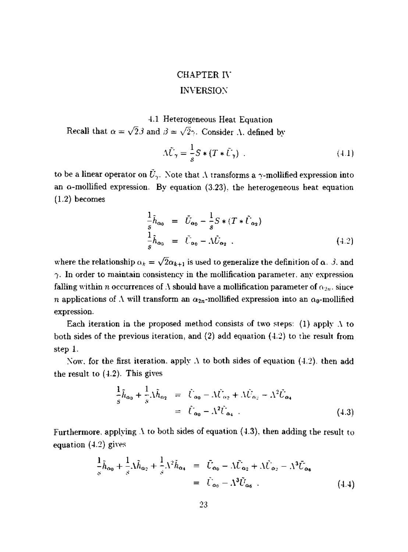# CHAPTER I\' INVERSION

# 4.1 Heterogeneous Heat Equation

Recall that  $\alpha = \sqrt{2} \beta$  and  $\beta = \sqrt{2} \gamma$ . Consider  $\Lambda$ , defined by

$$
\Lambda \tilde{U}_{\gamma} = \frac{1}{s} S * (T * \tilde{U}_{\gamma}) \tag{4.1}
$$

to be a linear operator on  $\tilde{U}_{\gamma}$ . Note that A transforms a  $\gamma$ -mollified expression into an  $\alpha$ -mollified expression. By equation (3.23), the heterogeneous heat equation (1.2) becomes

$$
\frac{1}{s}\tilde{h}_{\alpha_0} = \tilde{U}_{\alpha_0} - \frac{1}{s}S * (T * \tilde{U}_{\alpha_2})
$$
\n
$$
\frac{1}{s}\tilde{h}_{\alpha_0} = \tilde{U}_{\alpha_0} - \Lambda \tilde{U}_{\alpha_2} .
$$
\n(4.2)

where the relationship  $\alpha_k = \sqrt{2}\alpha_{k+1}$  is used to generalize the definition of  $\alpha$ . 3. and  $\gamma$ . In order to maintain consistency in the mollification parameter, any expression falling within *n* occurrences of A should have a mollification parameter of  $\alpha_{2n}$ , since *n* applications of  $\Lambda$  will transform an  $\alpha_{2n}$ -mollified expression into an  $\alpha_0$ -mollified expression.

Each iteration in the proposed method consists of two steps: (1) apply  $\Lambda$  to both sides of the previous iteration, and (2) add equation (4.2) to the result from step 1.

Now, for the first iteration, apply  $\Lambda$  to both sides of equation (4.2), then add the result to (4.2). This gives

$$
\frac{1}{s}\tilde{h}_{\alpha_0} + \frac{1}{s}\Lambda\tilde{h}_{\alpha_2} = \tilde{U}_{\alpha_0} - \Lambda\tilde{U}_{\alpha_2} + \Lambda\tilde{U}_{\alpha_2} - \Lambda^2\tilde{U}_{\alpha_4} \n= \tilde{U}_{\alpha_0} - \Lambda^2\tilde{U}_{\alpha_4}
$$
\n(4.3)

Furthermore, applying  $\Lambda$  to both sides of equation (4.3), then adding the result to equation (4.2) gives

$$
\frac{1}{s}\tilde{h}_{\alpha_0} + \frac{1}{s}\Lambda \tilde{h}_{\alpha_2} + \frac{1}{s}\Lambda^2 \tilde{h}_{\alpha_4} = \tilde{U}_{\alpha_0} - \Lambda \tilde{U}_{\alpha_2} + \Lambda \tilde{U}_{\alpha_2} - \Lambda^3 \tilde{U}_{\alpha_6} \n= \tilde{U}_{\alpha_0} - \Lambda^3 \tilde{U}_{\alpha_6}
$$
\n(4.4)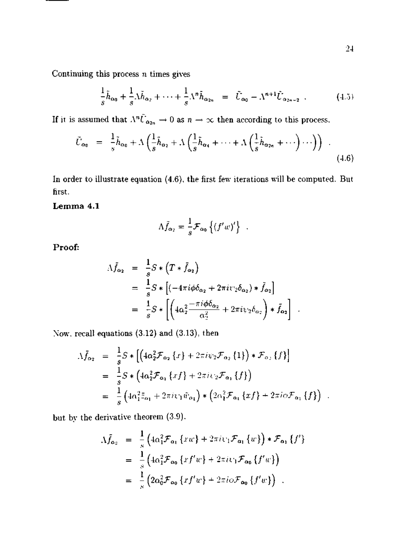Continuing this process *n* times gives

$$
\frac{1}{s}\tilde{h}_{\alpha_0} + \frac{1}{s}\Lambda \tilde{h}_{\alpha_2} + \dots + \frac{1}{s}\Lambda^n \tilde{h}_{\alpha_{2n}} = \tilde{U}_{\alpha_0} - \Lambda^{n+1}\tilde{U}_{\alpha_{2n+2}} \ . \tag{4.5}
$$

If it is assumed that  $\Lambda^n \tilde{U}_{\alpha_{2n}} \to 0$  as  $n \to \infty$  then according to this process.

$$
\tilde{U}_{\alpha_0} = \frac{1}{s} \tilde{h}_{\alpha_0} + \Lambda \left( \frac{1}{s} \tilde{h}_{\alpha_2} + \Lambda \left( \frac{1}{s} \tilde{h}_{\alpha_4} + \dots + \Lambda \left( \frac{1}{s} \tilde{h}_{\alpha_{2n}} + \dots \right) \dots \right) \right) \quad . \tag{4.6}
$$

In order to illustrate equation (4.6), the first few iterations will be computed. But first.

**Lemma 4.1** 

$$
\Lambda \tilde{f}_{\alpha_2} = \frac{1}{s} \mathcal{F}_{\alpha_0} \left\{ \left( f' w \right)' \right\} .
$$

**Proof:** 

$$
\begin{split}\n\Lambda \bar{f}_{\alpha_2} &= \frac{1}{s} S * (T * \bar{f}_{\alpha_2}) \\
&= \frac{1}{s} S * [(-4\pi i \phi \delta_{\alpha_2} + 2\pi i v_2 \delta_{\alpha_2}) * \tilde{f}_{\alpha_2}] \\
&= \frac{1}{s} S * [ \left( 4\alpha_2^2 \frac{-\pi i \phi \delta_{\alpha_2}}{\alpha_2^2} + 2\pi i v_2 \delta_{\alpha_2} \right) * \tilde{f}_{\alpha_2}].\n\end{split}
$$

Xow. recall equations (3.12) and (3.13), then

$$
\begin{split}\n\Lambda \bar{f}_{\alpha_2} &= \frac{1}{s} S * \left[ \left( 4\alpha_2^2 \mathcal{F}_{\alpha_2} \{ x \} + 2\pi i \psi_2 \mathcal{F}_{\alpha_2} \{ 1 \} \right) * \mathcal{F}_{\alpha_2} \{ f \} \right] \\
&= \frac{1}{s} S * \left( 4\alpha_2^2 \mathcal{F}_{\alpha_1} \{ x f \} + 2\pi i \psi_2 \mathcal{F}_{\alpha_1} \{ f \} \right) \\
&= \frac{1}{s} \left( 4\alpha_1^2 \bar{z}_{\alpha_1} + 2\pi i \psi_1 \bar{w}_{\alpha_1} \right) * \left( 2\alpha_1^2 \mathcal{F}_{\alpha_1} \{ x f \} + 2\pi i \phi \mathcal{F}_{\alpha_1} \{ f \} \right) .\n\end{split}
$$

but by the derivative theorem (3.9).

$$
\begin{split} \Lambda \tilde{f}_{\alpha_2} &= \frac{1}{s} \left( 4\alpha_1^2 \mathcal{F}_{\alpha_1} \{ xw \} + 2\pi i \psi_1 \mathcal{F}_{\alpha_1} \{ w \} \right) * \mathcal{F}_{\alpha_1} \{ f' \} \\ &= \frac{1}{s} \left( 4\alpha_1^2 \mathcal{F}_{\alpha_0} \{ x f' w \} + 2\pi i \psi_1 \mathcal{F}_{\alpha_0} \{ f' w \} \right) \\ &= \frac{1}{s} \left( 2\alpha_0^2 \mathcal{F}_{\alpha_0} \{ x f' w \} + 2\pi i \phi \mathcal{F}_{\alpha_0} \{ f' w \} \right) \ . \end{split}
$$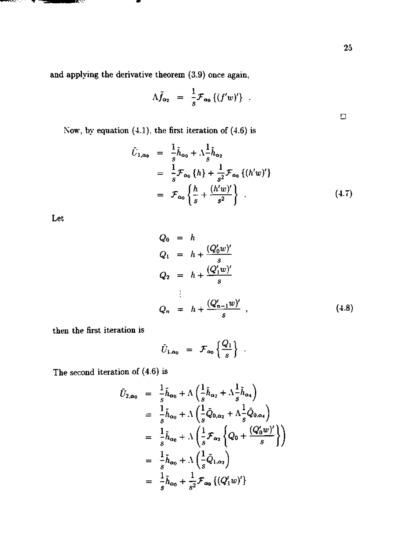and applying the derivative theorem (3.9) once again,

$$
\Lambda \bar{f}_{\alpha_2} = \frac{1}{s} \mathcal{F}_{\alpha_0} \left\{ (f'w)'\right\} .
$$

Now, by equation  $(4.1)$ , the first iteration of  $(4.6)$  is

$$
\bar{U}_{1,\alpha_{0}} = \frac{1}{s} \tilde{h}_{\alpha_{0}} + \Lambda \frac{1}{s} \tilde{h}_{\alpha_{2}} \n= \frac{1}{s} \mathcal{F}_{\alpha_{0}} \{h\} + \frac{1}{s^{2}} \mathcal{F}_{\alpha_{0}} \{(h'w)'\} \n= \mathcal{F}_{\alpha_{0}} \left\{ \frac{h}{s} + \frac{(h'w)'}{s^{2}} \right\}.
$$
\n(4.7)

Let

<del>And</del>erston (1977) and de

ИŅ,

$$
Q_0 = h
$$
  
\n
$$
Q_1 = h + \frac{(Q'_0 w)'}{s}
$$
  
\n
$$
Q_2 = h + \frac{(Q'_1 w)'}{s}
$$
  
\n
$$
\vdots
$$
  
\n
$$
Q_n = h + \frac{(Q'_{n-1} w)'}{s}
$$
, (4.8)

then the first iteration is

$$
\tilde{U}_{1,\alpha_0} = \mathcal{F}_{\alpha_0} \left\{ \frac{Q_1}{s} \right\} .
$$

The second iteration of (4.6) is

$$
\tilde{U}_{2,\alpha_{0}} = \frac{1}{s} \tilde{h}_{\alpha_{0}} + \Lambda \left( \frac{1}{s} \tilde{h}_{\alpha_{2}} + \Lambda \frac{1}{s} \tilde{h}_{\alpha_{4}} \right)
$$
\n
$$
= \frac{1}{s} \tilde{h}_{\alpha_{0}} + \Lambda \left( \frac{1}{s} \tilde{Q}_{0,\alpha_{2}} + \Lambda \frac{1}{s} \tilde{Q}_{0,\alpha_{4}} \right)
$$
\n
$$
= \frac{1}{s} \tilde{h}_{\alpha_{0}} + \Lambda \left( \frac{1}{s} \mathcal{F}_{\alpha_{2}} \left\{ Q_{0} + \frac{(Q'_{0}w)'}{s} \right\} \right)
$$
\n
$$
= \frac{1}{s} \tilde{h}_{\alpha_{0}} + \Lambda \left( \frac{1}{s} \tilde{Q}_{1,\alpha_{2}} \right)
$$
\n
$$
= \frac{1}{s} \tilde{h}_{\alpha_{0}} + \frac{1}{s^{2}} \mathcal{F}_{\alpha_{0}} \left\{ (Q'_{1}w)'\right\}
$$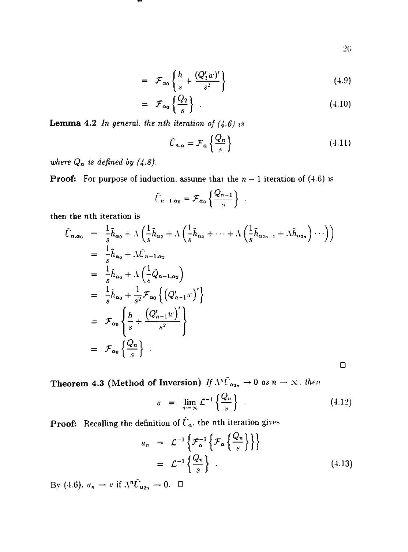$$
^{26}
$$

**D** 

$$
= \mathcal{F}_{\alpha_0} \left\{ \frac{h}{s} + \frac{(Q_1'w)'}{s^2} \right\} \tag{4.9}
$$

$$
= \mathcal{F}_{\alpha_0} \left\{ \frac{Q_2}{s} \right\} \tag{4.10}
$$

Lemma 4.2 *In general, the nth iteration of (4-6) is* 

$$
\tilde{U}_{n,\alpha} = \mathcal{F}_{\alpha} \left\{ \frac{Q_n}{s} \right\} \tag{4.11}
$$

*where*  $Q_n$  *is defined by (4.8).* 

**Proof:** For purpose of induction, assume that the  $n - 1$  iteration of (4.6) is

$$
\tilde{U}_{n-1,\alpha_0} = \mathcal{F}_{\alpha_0} \left\{ \frac{Q_{n-1}}{s} \right\} .
$$

then the *nth* iteration is

$$
\tilde{U}_{n,\alpha_{0}} = \frac{1}{s} \tilde{h}_{\alpha_{0}} + \Lambda \left( \frac{1}{s} \tilde{h}_{\alpha_{2}} + \Lambda \left( \frac{1}{s} \tilde{h}_{\alpha_{4}} + \dots + \Lambda \left( \frac{1}{s} \tilde{h}_{\alpha_{2n-2}} + \Lambda \tilde{h}_{\alpha_{2n}} \right) \cdots \right) \right)
$$
\n
$$
= \frac{1}{s} \tilde{h}_{\alpha_{0}} + \Lambda \tilde{U}_{n-1,\alpha_{2}}
$$
\n
$$
= \frac{1}{s} \tilde{h}_{\alpha_{0}} + \Lambda \left( \frac{1}{s} \tilde{Q}_{n-1,\alpha_{2}} \right)
$$
\n
$$
= \frac{1}{s} \tilde{h}_{\alpha_{0}} + \frac{1}{s^{2}} \mathcal{F}_{\alpha_{0}} \left\{ \left( Q'_{n-1} w \right)' \right\}
$$
\n
$$
= \mathcal{F}_{\alpha_{0}} \left\{ \frac{h}{s} + \frac{\left( Q'_{n-1} w \right)'}{s^{2}} \right\}
$$
\n
$$
= \mathcal{F}_{\alpha_{0}} \left\{ \frac{Q_{n}}{s} \right\} .
$$

**Theorem 4.3 (Method of Inversion)** *If*  $\Lambda^n \tilde{U}_{\alpha_{2n}} \to 0$  *as*  $n \to \infty$ *. then* 

$$
u = \lim_{n \to \infty} \mathcal{L}^{-1}\left\{\frac{Q_n}{s}\right\} \tag{4.12}
$$

**Proof:** Recalling the definition of  $\tilde{U}_{\alpha}$ , the *n*th iteration gives

$$
u_n = \mathcal{L}^{-1}\left\{\mathcal{F}_\alpha^{-1}\left\{\mathcal{F}_\alpha\left\{\frac{Q_n}{s}\right\}\right\}\right\}
$$
  
= 
$$
\mathcal{L}^{-1}\left\{\frac{Q_n}{s}\right\}.
$$
 (4.13)

By (4.6).  $u_n \rightharpoonup u$  if  $\Lambda^n \tilde{U}_{\alpha_{2n}} \rightharpoonup 0$ .  $\Box$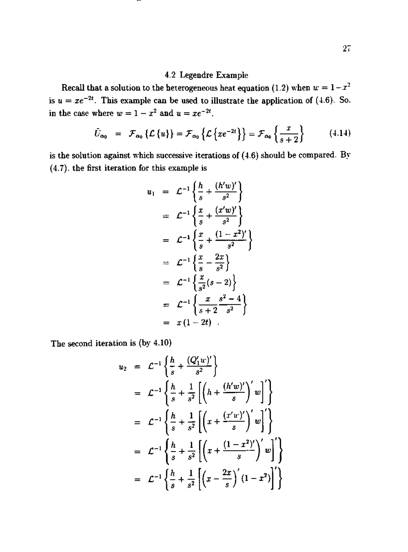# 4.2 Legendre Example

Recall that a solution to the heterogeneous heat equation (1.2) when  $w = 1 - x^2$ is  $u = xe^{-2t}$ . This example can be used to illustrate the application of (4.6). So. in the case where  $w = 1 - x^2$  and  $u = xe^{-2t}$ .

$$
\tilde{U}_{\alpha_0} = \mathcal{F}_{\alpha_0} \left\{ \mathcal{L} \left\{ u \right\} \right\} = \mathcal{F}_{\alpha_0} \left\{ \mathcal{L} \left\{ x e^{-2t} \right\} \right\} = \mathcal{F}_{\alpha_0} \left\{ \frac{x}{s+2} \right\} \tag{4.14}
$$

is the solution against which successive iterations of (4.6) should be compared. By (4.7). the first iteration for this example is

$$
u_1 = \mathcal{L}^{-1} \left\{ \frac{h}{s} + \frac{(h'w)'}{s^2} \right\}
$$
  
\n
$$
= \mathcal{L}^{-1} \left\{ \frac{x}{s} + \frac{(x'w)'}{s^2} \right\}
$$
  
\n
$$
= \mathcal{L}^{-1} \left\{ \frac{x}{s} + \frac{(1-x^2)'}{s^2} \right\}
$$
  
\n
$$
= \mathcal{L}^{-1} \left\{ \frac{x}{s} - \frac{2x}{s^2} \right\}
$$
  
\n
$$
= \mathcal{L}^{-1} \left\{ \frac{x}{s^2} (s - 2) \right\}
$$
  
\n
$$
= \mathcal{L}^{-1} \left\{ \frac{x}{s+2} \frac{s^2 - 4}{s^2} \right\}
$$
  
\n
$$
= x (1 - 2t) .
$$

The second iteration is (by 4.10)

$$
u_2 = \mathcal{L}^{-1} \left\{ \frac{h}{s} + \frac{(\mathcal{Q}_1' w)'}{s^2} \right\}
$$
  
\n
$$
= \mathcal{L}^{-1} \left\{ \frac{h}{s} + \frac{1}{s^2} \left[ \left( h + \frac{(h'w)'}{s} \right)' w \right]' \right\}
$$
  
\n
$$
= \mathcal{L}^{-1} \left\{ \frac{h}{s} + \frac{1}{s^2} \left[ \left( x + \frac{(x'w)'}{s} \right)' w \right]' \right\}
$$
  
\n
$$
= \mathcal{L}^{-1} \left\{ \frac{h}{s} + \frac{1}{s^2} \left[ \left( x + \frac{(1 - x^2)'}{s} \right)' w \right]' \right\}
$$
  
\n
$$
= \mathcal{L}^{-1} \left\{ \frac{h}{s} + \frac{1}{s^2} \left[ \left( x - \frac{2x}{s} \right)' (1 - x^2) \right]' \right\}
$$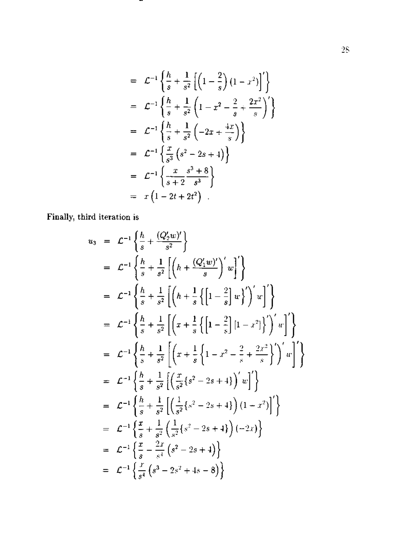$$
= \mathcal{L}^{-1} \left\{ \frac{h}{s} + \frac{1}{s^2} \left[ \left( 1 - \frac{2}{s} \right) (1 - x^2) \right]' \right\}
$$
  
\n
$$
= \mathcal{L}^{-1} \left\{ \frac{h}{s} + \frac{1}{s^2} \left( 1 - x^2 - \frac{2}{s} + \frac{2x^2}{s} \right)' \right\}
$$
  
\n
$$
= \mathcal{L}^{-1} \left\{ \frac{h}{s} + \frac{1}{s^2} \left( -2x + \frac{4x}{s} \right) \right\}
$$
  
\n
$$
= \mathcal{L}^{-1} \left\{ \frac{x}{s^3} \left( s^2 - 2s + 4 \right) \right\}
$$
  
\n
$$
= \mathcal{L}^{-1} \left\{ \frac{x}{s+2} \frac{s^3 + 8}{s^3} \right\}
$$
  
\n
$$
= x \left( 1 - 2t + 2t^2 \right) .
$$

-

Finally, third iteration is

$$
u_3 = \mathcal{L}^{-1} \left\{ \frac{h}{s} + \frac{(\mathcal{Q}_2' w)'}{s^2} \right\}
$$
  
\n
$$
= \mathcal{L}^{-1} \left\{ \frac{h}{s} + \frac{1}{s^2} \left[ \left( h + \frac{(\mathcal{Q}_1' w)'}{s} \right)' w \right]' \right\}
$$
  
\n
$$
= \mathcal{L}^{-1} \left\{ \frac{h}{s} + \frac{1}{s^2} \left[ \left( h + \frac{1}{s} \left\{ \left[ 1 - \frac{2}{s} \right] w \right\}' \right)' w \right]' \right\}
$$
  
\n
$$
= \mathcal{L}^{-1} \left\{ \frac{h}{s} + \frac{1}{s^2} \left[ \left( x + \frac{1}{s} \left\{ \left[ 1 - \frac{2}{s} \right] [1 - x^2] \right\}' \right)' w \right]' \right\}
$$
  
\n
$$
= \mathcal{L}^{-1} \left\{ \frac{h}{s} + \frac{1}{s^2} \left[ \left( x + \frac{1}{s} \left\{ 1 - x^2 - \frac{2}{s} + \frac{2x^2}{s} \right\}' \right)' w \right]' \right\}
$$
  
\n
$$
= \mathcal{L}^{-1} \left\{ \frac{h}{s} + \frac{1}{s^2} \left[ \left( \frac{x}{s^2} \left\{ s^2 - 2s + 4 \right\} \right)' w \right]' \right\}
$$
  
\n
$$
= \mathcal{L}^{-1} \left\{ \frac{h}{s} + \frac{1}{s^2} \left[ \left( \frac{1}{s^2} \left\{ s^2 - 2s + 4 \right\} \right) (1 - x^2) \right]' \right\}
$$
  
\n
$$
= \mathcal{L}^{-1} \left\{ \frac{x}{s} + \frac{1}{s^2} \left( \frac{1}{s^2} \left\{ s^2 - 2s + 4 \right\} \right) (-2x) \right\}
$$
  
\n
$$
= \mathcal{L}^{-1} \left\{ \frac{x}{s} - \frac{2x}{s^4} \left( s^2 - 2s + 4 \right) \right\}
$$
  
\n
$$
= \
$$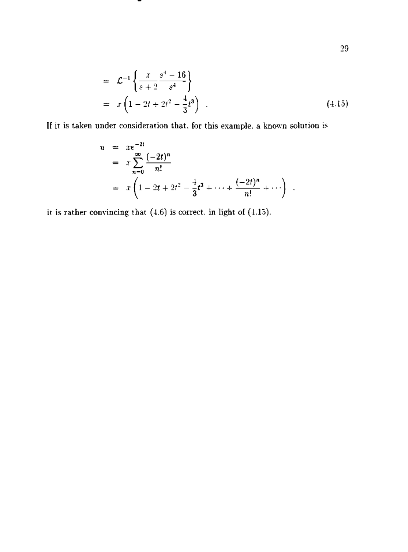$$
= \mathcal{L}^{-1} \left\{ \frac{x}{s+2} \frac{s^4 - 16}{s^4} \right\}
$$
  
=  $x \left( 1 - 2t + 2t^2 - \frac{4}{3}t^3 \right)$  (4.15)

If it is taken under consideration that, for this example, a known solution is

$$
u = xe^{-2t}
$$
  
=  $x \sum_{n=0}^{\infty} \frac{(-2t)^n}{n!}$   
=  $x \left(1 - 2t + 2t^2 - \frac{1}{3}t^3 + \dots + \frac{(-2t)^n}{n!} + \dots \right)$ .

it is rather convincing that  $(4.6)$  is correct. in light of  $(4.15)$ .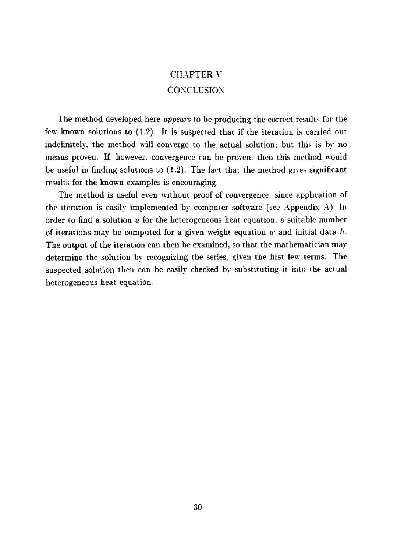# CHAPTER \' CONCLUSION

The method developed here *appears* to be producing the correct results for the few known solutions to (1.2). It is suspected that if the iteration is carried out indefinitely, the method will converge to the actual solution: but this is by no means proven. If. however, convergence can be proven, then this method would be useful in finding solutions to  $(1.2)$ . The fact that the method gives significant results for the known examples is encouraging.

The method is useful even without proof of convergence, since application of the iteration is easily implemented by computer software (see Appendix A). In order to find a solution *u* for the heterogeneous heat equation, a suitable number of iterations may be computed for a given weight equation *w* and initial data *h.*  The output of the iteration can then be examined, so that the mathematician may determine the solution by recognizing the series, given the first few terms. The suspected solution then can be easily checked by substituting it into the actual heterogeneous heat equation.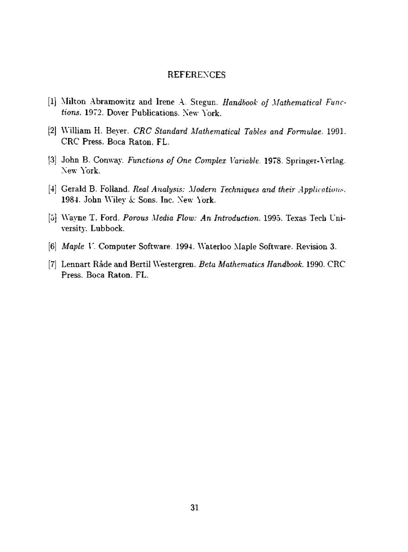#### **REFERENCES**

- **[1**  Milton .Abramowitz and Irene .\. Stegun. *Handbook of Mathematical Functions.* 1972. Dover Publications. New York.
- [2 Wilham H. Beyer. *CRC Standard Mathematical Tables and Formulae.* 1991. CRC Press. Boca Raton, FL.
- [3] John B. Conway. *Functions of One Complex Variable*. 1978. Springer-Verlag. New York.
- [4 Gerald B. Folland. *Real Analysis: Modern Techniques and their Applications.*  1984. John Wiley *k* Sons. Inc. New \'ork.
- Wayne T. Ford. *Porous Media Flow: An Introduction.* 1995. Texas Tech University. Lubbock.
- [6] *Maple* U. Computer Software. 1994. Waterloo Maple Software. Revision 3.
- [7] Lennart Rade and Bertil Westergren. *Beta Mathematics Handbook.* 1990. CRC Press. Boca Raton. FL.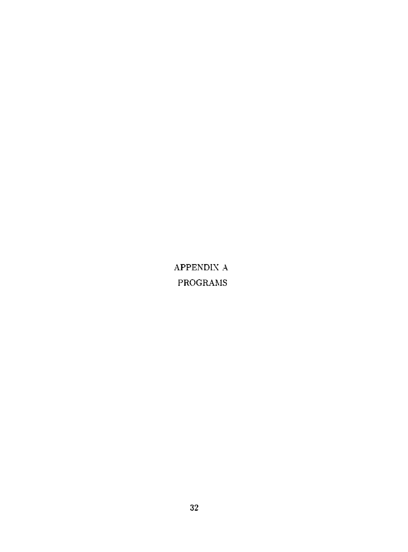APPENDIX A PROGRAMS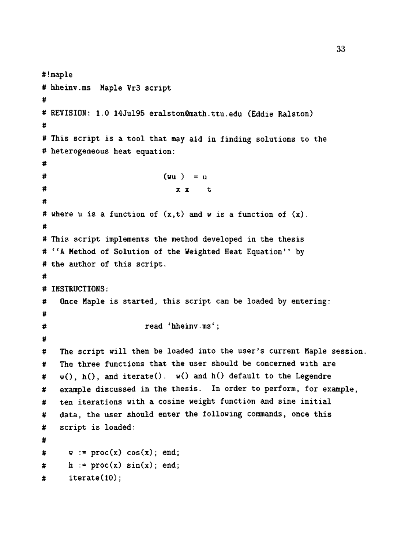```
#!maple 
# hheinv.ms Maple VrS script 
# 
# REVISION: 1.0 14Jul95 eralston@raath.ttu.edu (Eddie Ralston) 
# 
# This script is a tool that may aid in finding solutions to the 
# heterogeneous heat equation: 
# 
\# (wu ) = u
\# x x t
# 
# where u is a function of (x,t) and w is a function of (x).
# 
# This script implements the method developed in the thesis 
# ''A Method of Solution of the Weighted Heat Equation'' by 
# the author of this script. 
# 
# INSTRUCTIONS: 
# Once Maple is started, this script can be loaded by entering: 
# 
# read 'hheinv.ms'; 
# 
# The script will then be loaded into the user's current Maple session.
# The three functions that the user should be concerned with are 
# w(), h(), and iterate(). w() and h() default to the Legendre
# example discussed in the thesis. In order to perform, for example, 
# ten iterations with a cosine weight function and sine initial 
# data, the user should enter the following commands, once this 
# script is loaded: 
# 
\# \psi := \text{proc}(x) \cos(x); end;
# h := proc(x) sin(x); end;
# iterate(10);
```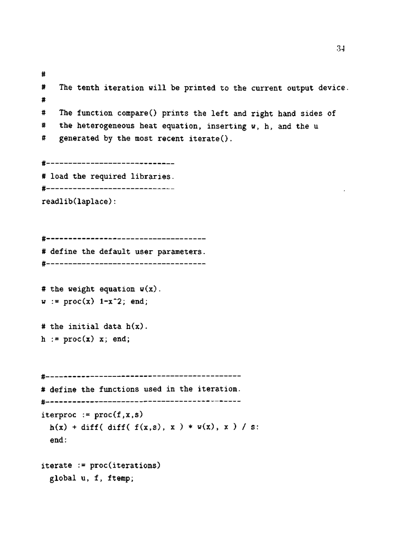# # The tenth iteration will be printed to the current output device # # The function compare() prints the left and right hand sides of # the heterogeneous heat equation, inserting w, h, and the u # generated by the most recent iterate(). #-----------------------**------**-# load the required libraries. **#----------------------------**readlib(laplace): # # define the default user parameters. # # the weight equation  $w(x)$ .  $w := \text{proc}(x)$  1-x<sup>-</sup>2; end; # the initial data h(x). h :=  $proc(x)$  x; end; # # define the functions used in the iteration. # iterproc  $:=$  proc $(f,x,s)$  $h(x) + diff( diff(f(x,s), x) * v(x), x ) / s$ : end: iterate := proc(iterations) global u, f, ftemp;

34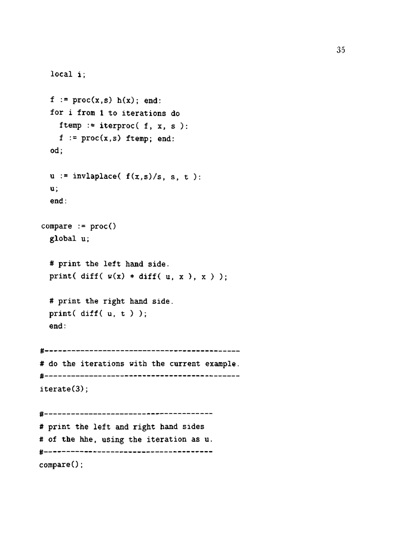```
local i; 
 f := \text{proc}(x, s) h(x); end:for i from 1 to iterations do 
   ftemp := iterproc( f, x, s):
   f := proc(x,s) ftemp; end:
 od; 
 u := invlaplace(f(x, s)/s, s, t):
 u; 
 end: 
compare := proc()global u; 
 # print the left hand side. 
 print( diff(v(x) * diff(u, x), x));
 # print the right hand side.
 print( diff( u, t ) ); 
 end: 
# 
# do the iterations with the current example.
# 
iterate(3);# 
# print the left and right hand sides 
# of the hhe, using the iteration as u. 
# 
compare();
```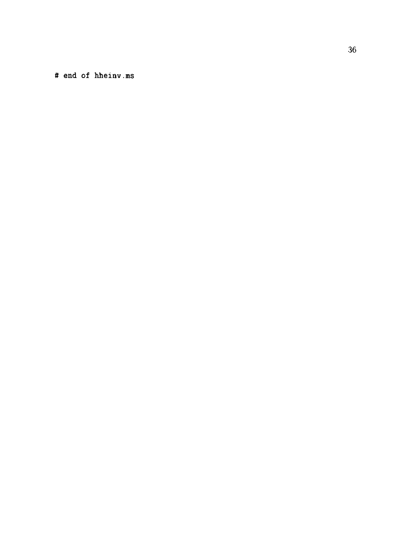# end of hheinv.ms